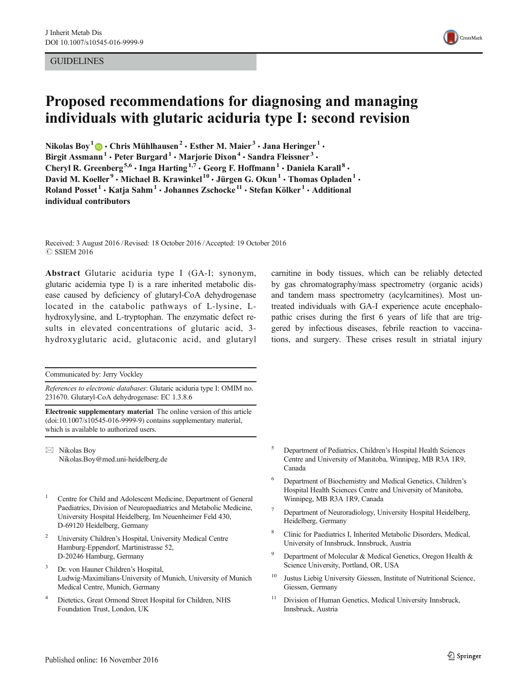### GUIDELINES



# Proposed recommendations for diagnosing and managing individuals with glutaric aciduria type I: second revision

Nikolas Boy<sup>1</sup>  $\bigcirc$   $\cdot$  Chris Mühlhausen<sup>2</sup>  $\cdot$  Esther M. Maier<sup>3</sup>  $\cdot$  Jana Heringer<sup>1</sup>  $\cdot$ Birgit Assmann<sup>1</sup> · Peter Burgard<sup>1</sup> · Marjorie Dixon<sup>4</sup> · Sandra Fleissner<sup>3</sup> · Cheryl R. Greenberg<sup>5,6</sup> · Inga Harting<sup>1,7</sup> · Georg F. Hoffmann<sup>1</sup> · Daniela Karall<sup>8</sup> · David M. Koeller<sup>9</sup> • Michael B. Krawinkel<sup>10</sup> • Jürgen G. Okun<sup>1</sup> • Thomas Opladen<sup>1</sup> • Roland Posset<sup>1</sup> · Katja Sahm<sup>1</sup> · Johannes Zschocke<sup>11</sup> · Stefan Kölker<sup>1</sup> · Additional individual contributors

Received: 3 August 2016 /Revised: 18 October 2016 /Accepted: 19 October 2016 **C SSIEM 2016** 

Abstract Glutaric aciduria type I (GA-I; synonym, glutaric acidemia type I) is a rare inherited metabolic disease caused by deficiency of glutaryl-CoA dehydrogenase located in the catabolic pathways of L-lysine, Lhydroxylysine, and L-tryptophan. The enzymatic defect results in elevated concentrations of glutaric acid, 3 hydroxyglutaric acid, glutaconic acid, and glutaryl

Communicated by: Jerry Vockley

References to electronic databases: Glutaric aciduria type I: OMIM no. 231670. Glutaryl-CoA dehydrogenase: EC 1.3.8.6

Electronic supplementary material The online version of this article (doi[:10.1007/s10545-016-9999-9](http://dx.doi.org/10.1007/s10545-016-9999-9)) contains supplementary material, which is available to authorized users.

 $\boxtimes$  Nikolas Boy Nikolas.Boy@med.uni-heidelberg.de

- <sup>1</sup> Centre for Child and Adolescent Medicine, Department of General Paediatrics, Division of Neuropaediatrics and Metabolic Medicine, University Hospital Heidelberg, Im Neuenheimer Feld 430, D-69120 Heidelberg, Germany
- <sup>2</sup> University Children's Hospital, University Medical Centre Hamburg-Eppendorf, Martinistrasse 52, D-20246 Hamburg, Germany
- Dr. von Hauner Children's Hospital, Ludwig-Maximilians-University of Munich, University of Munich Medical Centre, Munich, Germany
- <sup>4</sup> Dietetics, Great Ormond Street Hospital for Children, NHS Foundation Trust, London, UK

carnitine in body tissues, which can be reliably detected by gas chromatography/mass spectrometry (organic acids) and tandem mass spectrometry (acylcarnitines). Most untreated individuals with GA-I experience acute encephalopathic crises during the first 6 years of life that are triggered by infectious diseases, febrile reaction to vaccinations, and surgery. These crises result in striatal injury

- <sup>5</sup> Department of Pediatrics, Children's Hospital Health Sciences Centre and University of Manitoba, Winnipeg, MB R3A 1R9, Canada
- <sup>6</sup> Department of Biochemistry and Medical Genetics, Children's Hospital Health Sciences Centre and University of Manitoba, Winnipeg, MB R3A 1R9, Canada
- <sup>7</sup> Department of Neuroradiology, University Hospital Heidelberg, Heidelberg, Germany
- <sup>8</sup> Clinic for Paediatrics I, Inherited Metabolic Disorders, Medical, University of Innsbruck, Innsbruck, Austria
- <sup>9</sup> Department of Molecular & Medical Genetics, Oregon Health & Science University, Portland, OR, USA
- Justus Liebig University Giessen, Institute of Nutritional Science, Giessen, Germany
- <sup>11</sup> Division of Human Genetics, Medical University Innsbruck, Innsbruck, Austria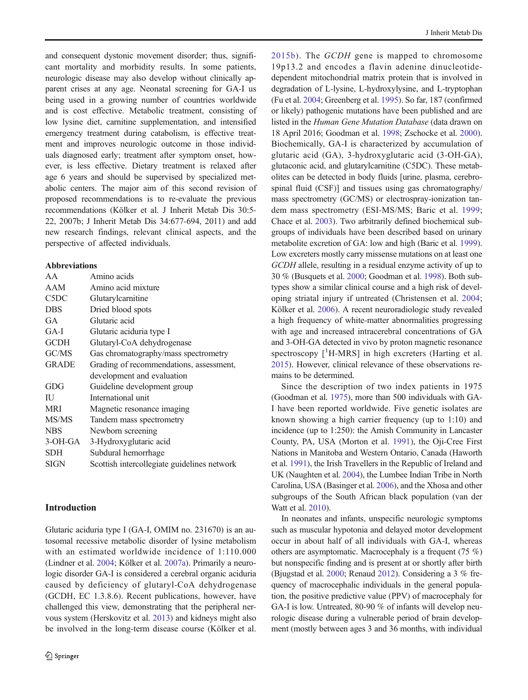and consequent dystonic movement disorder; thus, significant mortality and morbidity results. In some patients, neurologic disease may also develop without clinically apparent crises at any age. Neonatal screening for GA-I us being used in a growing number of countries worldwide and is cost effective. Metabolic treatment, consisting of low lysine diet, carnitine supplementation, and intensified emergency treatment during catabolism, is effective treatment and improves neurologic outcome in those individuals diagnosed early; treatment after symptom onset, however, is less effective. Dietary treatment is relaxed after age 6 years and should be supervised by specialized metabolic centers. The major aim of this second revision of proposed recommendations is to re-evaluate the previous recommendations (Kölker et al. J Inherit Metab Dis 30:5- 22, 2007b; J Inherit Metab Dis 34:677-694, 2011) and add new research findings, relevant clinical aspects, and the perspective of affected individuals.

#### Abbreviations

| AA                            | Amino acids                                 |
|-------------------------------|---------------------------------------------|
| AAM                           | Amino acid mixture                          |
| C <sub>5</sub> D <sub>C</sub> | Glutarylcarnitine                           |
| <b>DBS</b>                    | Dried blood spots                           |
| GA                            | Glutaric acid                               |
| $GA-I$                        | Glutaric aciduria type I                    |
| <b>GCDH</b>                   | Glutaryl-CoA dehydrogenase                  |
| GC/MS                         | Gas chromatography/mass spectrometry        |
| <b>GRADE</b>                  | Grading of recommendations, assessment,     |
|                               | development and evaluation                  |
| GDG                           | Guideline development group                 |
| ΠJ                            | International unit                          |
| <b>MRI</b>                    | Magnetic resonance imaging                  |
| MS/MS                         | Tandem mass spectrometry                    |
| <b>NBS</b>                    | Newborn screening                           |
| $3-OH-GA$                     | 3-Hydroxyglutaric acid                      |
| <b>SDH</b>                    | Subdural hemorrhage                         |
| SIGN                          | Scottish intercollegiate guidelines network |
|                               |                                             |

# Introduction

Glutaric aciduria type I (GA-I, OMIM no. 231670) is an autosomal recessive metabolic disorder of lysine metabolism with an estimated worldwide incidence of 1:110.000 (Lindner et al. [2004;](#page-24-0) Kölker et al. [2007a](#page-24-0)). Primarily a neurologic disorder GA-I is considered a cerebral organic aciduria caused by deficiency of glutaryl-CoA dehydrogenase (GCDH, EC 1.3.8.6). Recent publications, however, have challenged this view, demonstrating that the peripheral nervous system (Herskovitz et al. [2013\)](#page-24-0) and kidneys might also be involved in the long-term disease course (Kölker et al. [2015b\)](#page-24-0). The GCDH gene is mapped to chromosome 19p13.2 and encodes a flavin adenine dinucleotidedependent mitochondrial matrix protein that is involved in degradation of L-lysine, L-hydroxylysine, and L-tryptophan (Fu et al. [2004;](#page-23-0) Greenberg et al. [1995\)](#page-23-0). So far, 187 (confirmed or likely) pathogenic mutations have been published and are listed in the Human Gene Mutation Database (data drawn on 18 April 2016; Goodman et al. [1998;](#page-23-0) Zschocke et al. [2000\)](#page-26-0). Biochemically, GA-I is characterized by accumulation of glutaric acid (GA), 3-hydroxyglutaric acid (3-OH-GA), glutaconic acid, and glutarylcarnitine (C5DC). These metabolites can be detected in body fluids [urine, plasma, cerebrospinal fluid (CSF)] and tissues using gas chromatography/ mass spectrometry (GC/MS) or electrospray-ionization tandem mass spectrometry (ESI-MS/MS; Baric et al. [1999;](#page-22-0) Chace et al. [2003](#page-22-0)). Two arbitrarily defined biochemical subgroups of individuals have been described based on urinary metabolite excretion of GA: low and high (Baric et al. [1999\)](#page-22-0). Low excreters mostly carry missense mutations on at least one GCDH allele, resulting in a residual enzyme activity of up to 30 % (Busquets et al. [2000](#page-22-0); Goodman et al. [1998\)](#page-23-0). Both subtypes show a similar clinical course and a high risk of developing striatal injury if untreated (Christensen et al. [2004;](#page-23-0) Kölker et al. [2006\)](#page-24-0). A recent neuroradiologic study revealed a high frequency of white-matter abnormalities progressing with age and increased intracerebral concentrations of GA and 3-OH-GA detected in vivo by proton magnetic resonance spectroscopy [<sup>1</sup>H-MRS] in high excreters (Harting et al. [2015\)](#page-23-0). However, clinical relevance of these observations remains to be determined.

Since the description of two index patients in 1975 (Goodman et al. [1975](#page-23-0)), more than 500 individuals with GA-I have been reported worldwide. Five genetic isolates are known showing a high carrier frequency (up to 1:10) and incidence (up to 1:250): the Amish Community in Lancaster County, PA, USA (Morton et al. [1991](#page-25-0)), the Oji-Cree First Nations in Manitoba and Western Ontario, Canada (Haworth et al. [1991\)](#page-23-0), the Irish Travellers in the Republic of Ireland and UK (Naughten et al. [2004](#page-25-0)), the Lumbee Indian Tribe in North Carolina, USA (Basinger et al. [2006](#page-22-0)), and the Xhosa and other subgroups of the South African black population (van der Watt et al. [2010\)](#page-26-0).

In neonates and infants, unspecific neurologic symptoms such as muscular hypotonia and delayed motor development occur in about half of all individuals with GA-I, whereas others are asymptomatic. Macrocephaly is a frequent (75 %) but nonspecific finding and is present at or shortly after birth (Bjugstad et al. [2000](#page-22-0); Renaud [2012\)](#page-25-0). Considering a 3 % frequency of macrocephalic individuals in the general population, the positive predictive value (PPV) of macrocephaly for GA-I is low. Untreated, 80-90 % of infants will develop neurologic disease during a vulnerable period of brain development (mostly between ages 3 and 36 months, with individual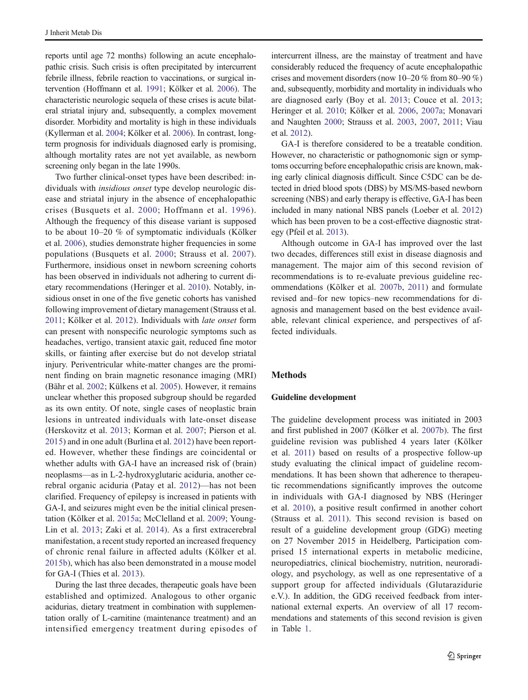reports until age 72 months) following an acute encephalopathic crisis. Such crisis is often precipitated by intercurrent febrile illness, febrile reaction to vaccinations, or surgical intervention (Hoffmann et al. [1991](#page-24-0); Kölker et al. [2006\)](#page-24-0). The characteristic neurologic sequela of these crises is acute bilateral striatal injury and, subsequently, a complex movement disorder. Morbidity and mortality is high in these individuals (Kyllerman et al. [2004;](#page-24-0) Kölker et al. [2006\)](#page-24-0). In contrast, longterm prognosis for individuals diagnosed early is promising, although mortality rates are not yet available, as newborn screening only began in the late 1990s.

Two further clinical-onset types have been described: individuals with insidious onset type develop neurologic disease and striatal injury in the absence of encephalopathic crises (Busquets et al. [2000;](#page-22-0) Hoffmann et al. [1996\)](#page-24-0). Although the frequency of this disease variant is supposed to be about 10–20 % of symptomatic individuals (Kölker et al. [2006\)](#page-24-0), studies demonstrate higher frequencies in some populations (Busquets et al. [2000](#page-22-0); Strauss et al. [2007](#page-25-0)). Furthermore, insidious onset in newborn screening cohorts has been observed in individuals not adhering to current dietary recommendations (Heringer et al. [2010](#page-23-0)). Notably, insidious onset in one of the five genetic cohorts has vanished following improvement of dietary management (Strauss et al. [2011;](#page-25-0) Kölker et al. [2012](#page-24-0)). Individuals with late onset form can present with nonspecific neurologic symptoms such as headaches, vertigo, transient ataxic gait, reduced fine motor skills, or fainting after exercise but do not develop striatal injury. Periventricular white-matter changes are the prominent finding on brain magnetic resonance imaging (MRI) (Bähr et al. [2002;](#page-22-0) Külkens et al. [2005\)](#page-24-0). However, it remains unclear whether this proposed subgroup should be regarded as its own entity. Of note, single cases of neoplastic brain lesions in untreated individuals with late-onset disease (Herskovitz et al. [2013;](#page-24-0) Korman et al. [2007;](#page-24-0) Pierson et al. [2015](#page-25-0)) and in one adult (Burlina et al. [2012\)](#page-22-0) have been reported. However, whether these findings are coincidental or whether adults with GA-I have an increased risk of (brain) neoplasms—as in L-2-hydroxyglutaric aciduria, another cerebral organic aciduria (Patay et al. [2012\)](#page-25-0)—has not been clarified. Frequency of epilepsy is increased in patients with GA-I, and seizures might even be the initial clinical presentation (Kölker et al. [2015a;](#page-24-0) McClelland et al. [2009](#page-25-0); Young-Lin et al. [2013;](#page-26-0) Zaki et al. [2014](#page-26-0)). As a first extracerebral manifestation, a recent study reported an increased frequency of chronic renal failure in affected adults (Kölker et al. [2015b](#page-24-0)), which has also been demonstrated in a mouse model for GA-I (Thies et al. [2013\)](#page-25-0).

During the last three decades, therapeutic goals have been established and optimized. Analogous to other organic acidurias, dietary treatment in combination with supplementation orally of L-carnitine (maintenance treatment) and an intensified emergency treatment during episodes of intercurrent illness, are the mainstay of treatment and have considerably reduced the frequency of acute encephalopathic crises and movement disorders (now 10–20 % from 80–90 %) and, subsequently, morbidity and mortality in individuals who are diagnosed early (Boy et al. [2013](#page-22-0); Couce et al. [2013;](#page-23-0) Heringer et al. [2010](#page-23-0); Kölker et al. [2006](#page-24-0), [2007a;](#page-24-0) Monavari and Naughten [2000;](#page-25-0) Strauss et al. [2003,](#page-25-0) [2007,](#page-25-0) [2011](#page-25-0); Viau et al. [2012](#page-26-0)).

GA-I is therefore considered to be a treatable condition. However, no characteristic or pathognomonic sign or symptoms occurring before encephalopathic crisis are known, making early clinical diagnosis difficult. Since C5DC can be detected in dried blood spots (DBS) by MS/MS-based newborn screening (NBS) and early therapy is effective, GA-I has been included in many national NBS panels (Loeber et al. [2012](#page-24-0)) which has been proven to be a cost-effective diagnostic strategy (Pfeil et al. [2013\)](#page-25-0).

Although outcome in GA-I has improved over the last two decades, differences still exist in disease diagnosis and management. The major aim of this second revision of recommendations is to re-evaluate previous guideline recommendations (Kölker et al. [2007b,](#page-24-0) [2011\)](#page-24-0) and formulate revised and–for new topics–new recommendations for diagnosis and management based on the best evidence available, relevant clinical experience, and perspectives of affected individuals.

# Methods

#### Guideline development

The guideline development process was initiated in 2003 and first published in 2007 (Kölker et al. [2007b\)](#page-24-0). The first guideline revision was published 4 years later (Kölker et al. [2011](#page-24-0)) based on results of a prospective follow-up study evaluating the clinical impact of guideline recommendations. It has been shown that adherence to therapeutic recommendations significantly improves the outcome in individuals with GA-I diagnosed by NBS (Heringer et al. [2010\)](#page-23-0), a positive result confirmed in another cohort (Strauss et al. [2011](#page-25-0)). This second revision is based on result of a guideline development group (GDG) meeting on 27 November 2015 in Heidelberg, Participation comprised 15 international experts in metabolic medicine, neuropediatrics, clinical biochemistry, nutrition, neuroradiology, and psychology, as well as one representative of a support group for affected individuals (Glutarazidurie e.V.). In addition, the GDG received feedback from international external experts. An overview of all 17 recommendations and statements of this second revision is given in Table [1.](#page-3-0)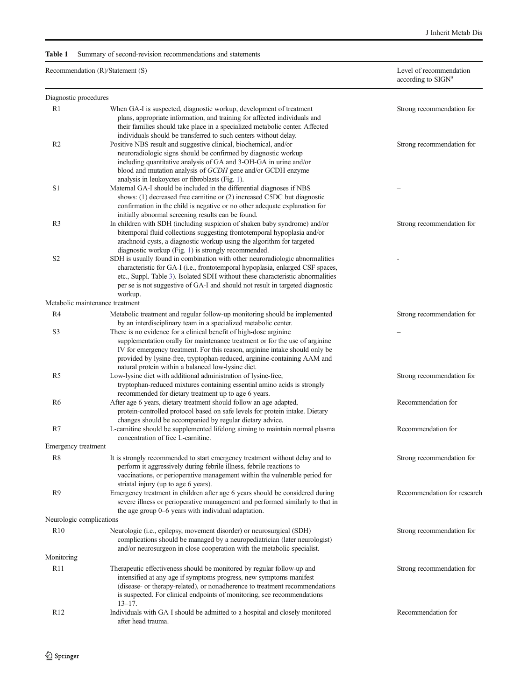# <span id="page-3-0"></span>Table 1 Summary of second-revision recommendations and statements

Recommendation (R)/Statement (S) Level of recommendation

according to  $\rm{SIGN}^a$ 

| Diagnostic procedures    |                                                                                                                                                                                                                                                                                                                                                                   |                             |
|--------------------------|-------------------------------------------------------------------------------------------------------------------------------------------------------------------------------------------------------------------------------------------------------------------------------------------------------------------------------------------------------------------|-----------------------------|
| R1                       | When GA-I is suspected, diagnostic workup, development of treatment<br>plans, appropriate information, and training for affected individuals and<br>their families should take place in a specialized metabolic center. Affected<br>individuals should be transferred to such centers without delay.                                                              | Strong recommendation for   |
| R <sub>2</sub>           | Positive NBS result and suggestive clinical, biochemical, and/or<br>neuroradiologic signs should be confirmed by diagnostic workup<br>including quantitative analysis of GA and 3-OH-GA in urine and/or<br>blood and mutation analysis of GCDH gene and/or GCDH enzyme<br>analysis in leukoyctes or fibroblasts (Fig. 1).                                         | Strong recommendation for   |
| S1                       | Maternal GA-I should be included in the differential diagnoses if NBS<br>shows: (1) decreased free carnitine or (2) increased C5DC but diagnostic<br>confirmation in the child is negative or no other adequate explanation for<br>initially abnormal screening results can be found.                                                                             |                             |
| R <sub>3</sub>           | In children with SDH (including suspicion of shaken baby syndrome) and/or<br>bitemporal fluid collections suggesting frontotemporal hypoplasia and/or<br>arachnoid cysts, a diagnostic workup using the algorithm for targeted<br>diagnostic workup (Fig. 1) is strongly recommended.                                                                             | Strong recommendation for   |
| S2                       | SDH is usually found in combination with other neuroradiologic abnormalities<br>characteristic for GA-I (i.e., frontotemporal hypoplasia, enlarged CSF spaces,<br>etc., Suppl. Table 3). Isolated SDH without these characteristic abnormalities<br>per se is not suggestive of GA-I and should not result in targeted diagnostic<br>workup.                      |                             |
|                          | Metabolic maintenance treatment                                                                                                                                                                                                                                                                                                                                   |                             |
| R4                       | Metabolic treatment and regular follow-up monitoring should be implemented<br>by an interdisciplinary team in a specialized metabolic center.                                                                                                                                                                                                                     | Strong recommendation for   |
| S3                       | There is no evidence for a clinical benefit of high-dose arginine<br>supplementation orally for maintenance treatment or for the use of arginine<br>IV for emergency treatment. For this reason, arginine intake should only be<br>provided by lysine-free, tryptophan-reduced, arginine-containing AAM and<br>natural protein within a balanced low-lysine diet. |                             |
| R <sub>5</sub>           | Low-lysine diet with additional administration of lysine-free,<br>tryptophan-reduced mixtures containing essential amino acids is strongly<br>recommended for dietary treatment up to age 6 years.                                                                                                                                                                | Strong recommendation for   |
| R6                       | After age 6 years, dietary treatment should follow an age-adapted,<br>protein-controlled protocol based on safe levels for protein intake. Dietary<br>changes should be accompanied by regular dietary advice.                                                                                                                                                    | Recommendation for          |
| R7                       | L-carnitine should be supplemented lifelong aiming to maintain normal plasma<br>concentration of free L-carnitine.                                                                                                                                                                                                                                                | Recommendation for          |
| Emergency treatment      |                                                                                                                                                                                                                                                                                                                                                                   |                             |
| R <sub>8</sub>           | It is strongly recommended to start emergency treatment without delay and to<br>perform it aggressively during febrile illness, febrile reactions to<br>vaccinations, or perioperative management within the vulnerable period for<br>striatal injury (up to age 6 years).                                                                                        | Strong recommendation for   |
| R9                       | Emergency treatment in children after age 6 years should be considered during<br>severe illness or perioperative management and performed similarly to that in<br>the age group 0–6 years with individual adaptation.                                                                                                                                             | Recommendation for research |
| Neurologic complications |                                                                                                                                                                                                                                                                                                                                                                   |                             |
| R10                      | Neurologic (i.e., epilepsy, movement disorder) or neurosurgical (SDH)<br>complications should be managed by a neuropediatrician (later neurologist)<br>and/or neurosurgeon in close cooperation with the metabolic specialist.                                                                                                                                    | Strong recommendation for   |
| Monitoring               |                                                                                                                                                                                                                                                                                                                                                                   |                             |
| R <sub>11</sub>          | Therapeutic effectiveness should be monitored by regular follow-up and<br>intensified at any age if symptoms progress, new symptoms manifest<br>(disease- or therapy-related), or nonadherence to treatment recommendations<br>is suspected. For clinical endpoints of monitoring, see recommendations<br>$13 - 17$ .                                             | Strong recommendation for   |
| R <sub>12</sub>          | Individuals with GA-I should be admitted to a hospital and closely monitored<br>after head trauma.                                                                                                                                                                                                                                                                | Recommendation for          |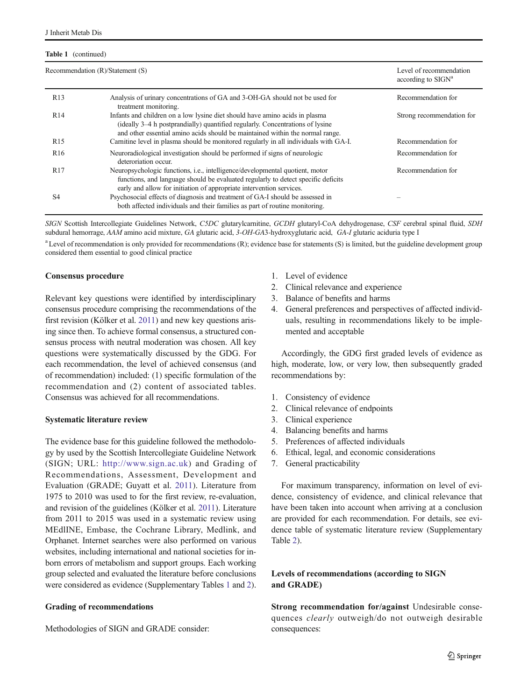#### Table 1 (continued)

| Recommendation (R)/Statement (S) |                                                                                                                                                                                                                                                   | Level of recommendation<br>according to $SIGNa$ |
|----------------------------------|---------------------------------------------------------------------------------------------------------------------------------------------------------------------------------------------------------------------------------------------------|-------------------------------------------------|
| R13                              | Analysis of urinary concentrations of GA and 3-OH-GA should not be used for<br>treatment monitoring.                                                                                                                                              | Recommendation for                              |
| R <sub>14</sub>                  | Infants and children on a low lysine diet should have amino acids in plasma<br>(ideally 3–4 h postprandially) quantified regularly. Concentrations of lysine<br>and other essential amino acids should be maintained within the normal range.     | Strong recommendation for                       |
| R <sub>15</sub>                  | Carnitine level in plasma should be monitored regularly in all individuals with GA-I.                                                                                                                                                             | Recommendation for                              |
| R <sub>16</sub>                  | Neuroradiological investigation should be performed if signs of neurologic<br>deteroriation occur.                                                                                                                                                | Recommendation for                              |
| R17                              | Neuropsychologic functions, <i>i.e.</i> , intelligence/developmental quotient, motor<br>functions, and language should be evaluated regularly to detect specific deficits<br>early and allow for initiation of appropriate intervention services. | Recommendation for                              |
| S <sub>4</sub>                   | Psychosocial effects of diagnosis and treatment of GA-I should be assessed in<br>both affected individuals and their families as part of routine monitoring.                                                                                      |                                                 |

SIGN Scottish Intercollegiate Guidelines Network, C5DC glutarylcarnitine, GCDH glutaryl-CoA dehydrogenase, CSF cerebral spinal fluid, SDH subdural hemorrage, AAM amino acid mixture, GA glutaric acid, 3-OH-GA3-hydroxyglutaric acid, GA-I glutaric aciduria type I

<sup>a</sup> Level of recommendation is only provided for recommendations (R); evidence base for statements (S) is limited, but the guideline development group considered them essential to good clinical practice

#### Consensus procedure

Relevant key questions were identified by interdisciplinary consensus procedure comprising the recommendations of the first revision (Kölker et al. [2011](#page-24-0)) and new key questions arising since then. To achieve formal consensus, a structured consensus process with neutral moderation was chosen. All key questions were systematically discussed by the GDG. For each recommendation, the level of achieved consensus (and of recommendation) included: (1) specific formulation of the recommendation and (2) content of associated tables. Consensus was achieved for all recommendations.

## Systematic literature review

The evidence base for this guideline followed the methodology by used by the Scottish Intercollegiate Guideline Network (SIGN; URL: [http://www.sign.ac.uk\)](http://www.sign.ac.uk/) and Grading of Recommendations, Assessment, Development and Evaluation (GRADE; Guyatt et al. [2011](#page-23-0)). Literature from 1975 to 2010 was used to for the first review, re-evaluation, and revision of the guidelines (Kölker et al. [2011](#page-24-0)). Literature from 2011 to 2015 was used in a systematic review using MEdlINE, Embase, the Cochrane Library, Medlink, and Orphanet. Internet searches were also performed on various websites, including international and national societies for inborn errors of metabolism and support groups. Each working group selected and evaluated the literature before conclusions were considered as evidence (Supplementary Tables 1 and 2).

### Grading of recommendations

Methodologies of SIGN and GRADE consider:

- 1. Level of evidence
- 2. Clinical relevance and experience
- 3. Balance of benefits and harms
- 4. General preferences and perspectives of affected individuals, resulting in recommendations likely to be implemented and acceptable

Accordingly, the GDG first graded levels of evidence as high, moderate, low, or very low, then subsequently graded recommendations by:

- 1. Consistency of evidence
- 2. Clinical relevance of endpoints
- 3. Clinical experience
- 4. Balancing benefits and harms
- 5. Preferences of affected individuals
- 6. Ethical, legal, and economic considerations
- 7. General practicability

For maximum transparency, information on level of evidence, consistency of evidence, and clinical relevance that have been taken into account when arriving at a conclusion are provided for each recommendation. For details, see evidence table of systematic literature review (Supplementary Table 2).

# Levels of recommendations (according to SIGN and GRADE)

Strong recommendation for/against Undesirable consequences clearly outweigh/do not outweigh desirable consequences: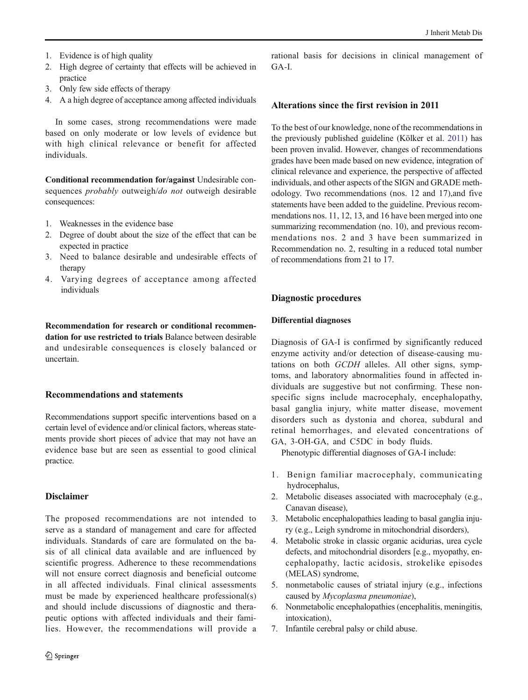- 1. Evidence is of high quality
- 2. High degree of certainty that effects will be achieved in practice
- 3. Only few side effects of therapy
- 4. A a high degree of acceptance among affected individuals

In some cases, strong recommendations were made based on only moderate or low levels of evidence but with high clinical relevance or benefit for affected individuals.

Conditional recommendation for/against Undesirable consequences *probably* outweigh/do not outweigh desirable consequences:

- 1. Weaknesses in the evidence base
- 2. Degree of doubt about the size of the effect that can be expected in practice
- 3. Need to balance desirable and undesirable effects of therapy
- 4. Varying degrees of acceptance among affected individuals

Recommendation for research or conditional recommendation for use restricted to trials Balance between desirable and undesirable consequences is closely balanced or uncertain.

# Recommendations and statements

Recommendations support specific interventions based on a certain level of evidence and/or clinical factors, whereas statements provide short pieces of advice that may not have an evidence base but are seen as essential to good clinical practice.

# Disclaimer

The proposed recommendations are not intended to serve as a standard of management and care for affected individuals. Standards of care are formulated on the basis of all clinical data available and are influenced by scientific progress. Adherence to these recommendations will not ensure correct diagnosis and beneficial outcome in all affected individuals. Final clinical assessments must be made by experienced healthcare professional(s) and should include discussions of diagnostic and therapeutic options with affected individuals and their families. However, the recommendations will provide a

rational basis for decisions in clinical management of GA-I.

# Alterations since the first revision in 2011

To the best of our knowledge, none of the recommendations in the previously published guideline (Kölker et al. [2011](#page-24-0)) has been proven invalid. However, changes of recommendations grades have been made based on new evidence, integration of clinical relevance and experience, the perspective of affected individuals, and other aspects of the SIGN and GRADE methodology. Two recommendations (nos. 12 and 17),and five statements have been added to the guideline. Previous recommendations nos. 11, 12, 13, and 16 have been merged into one summarizing recommendation (no. 10), and previous recommendations nos. 2 and 3 have been summarized in Recommendation no. 2, resulting in a reduced total number of recommendations from 21 to 17.

# Diagnostic procedures

# Differential diagnoses

Diagnosis of GA-I is confirmed by significantly reduced enzyme activity and/or detection of disease-causing mutations on both GCDH alleles. All other signs, symptoms, and laboratory abnormalities found in affected individuals are suggestive but not confirming. These nonspecific signs include macrocephaly, encephalopathy, basal ganglia injury, white matter disease, movement disorders such as dystonia and chorea, subdural and retinal hemorrhages, and elevated concentrations of GA, 3-OH-GA, and C5DC in body fluids.

Phenotypic differential diagnoses of GA-I include:

- 1. Benign familiar macrocephaly, communicating hydrocephalus,
- 2. Metabolic diseases associated with macrocephaly (e.g., Canavan disease),
- 3. Metabolic encephalopathies leading to basal ganglia injury (e.g., Leigh syndrome in mitochondrial disorders),
- 4. Metabolic stroke in classic organic acidurias, urea cycle defects, and mitochondrial disorders [e.g., myopathy, encephalopathy, lactic acidosis, strokelike episodes (MELAS) syndrome,
- 5. nonmetabolic causes of striatal injury (e.g., infections caused by Mycoplasma pneumoniae),
- 6. Nonmetabolic encephalopathies (encephalitis, meningitis, intoxication),
- 7. Infantile cerebral palsy or child abuse.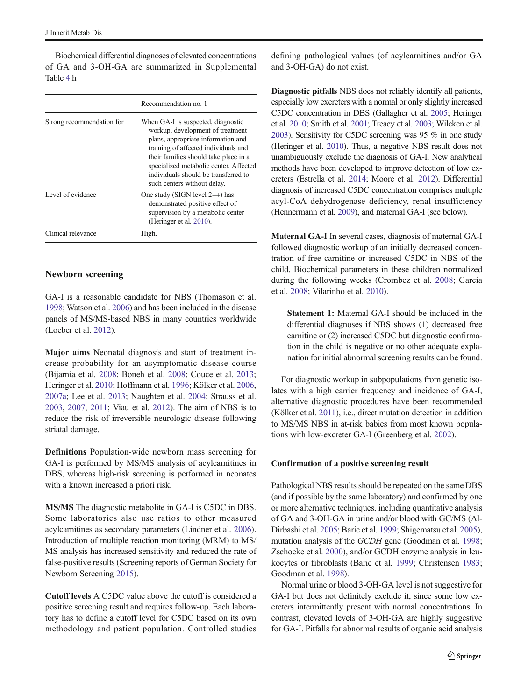Biochemical differential diagnoses of elevated concentrations of GA and 3-OH-GA are summarized in Supplemental Table 4.h

|                           | Recommendation no. 1                                                                                                                                                                                                                                                                                           |
|---------------------------|----------------------------------------------------------------------------------------------------------------------------------------------------------------------------------------------------------------------------------------------------------------------------------------------------------------|
| Strong recommendation for | When GA-I is suspected, diagnostic<br>workup, development of treatment<br>plans, appropriate information and<br>training of affected individuals and<br>their families should take place in a<br>specialized metabolic center. Affected<br>individuals should be transferred to<br>such centers without delay. |
| Level of evidence         | One study (SIGN level $2++$ ) has<br>demonstrated positive effect of<br>supervision by a metabolic center<br>(Heringer et al. 2010).                                                                                                                                                                           |
| Clinical relevance        | High.                                                                                                                                                                                                                                                                                                          |

# Newborn screening

GA-I is a reasonable candidate for NBS (Thomason et al. [1998;](#page-25-0) Watson et al. [2006\)](#page-26-0) and has been included in the disease panels of MS/MS-based NBS in many countries worldwide (Loeber et al. [2012](#page-24-0)).

Major aims Neonatal diagnosis and start of treatment increase probability for an asymptomatic disease course (Bijarnia et al. [2008](#page-22-0); Boneh et al. [2008](#page-22-0); Couce et al. [2013](#page-23-0); Heringer et al. [2010](#page-23-0); Hoffmann et al. [1996](#page-24-0); Kölker et al. [2006,](#page-24-0) [2007a;](#page-24-0) Lee et al. [2013;](#page-24-0) Naughten et al. [2004;](#page-25-0) Strauss et al. [2003,](#page-25-0) [2007](#page-25-0), [2011](#page-25-0); Viau et al. [2012\)](#page-26-0). The aim of NBS is to reduce the risk of irreversible neurologic disease following striatal damage.

Definitions Population-wide newborn mass screening for GA-I is performed by MS/MS analysis of acylcarnitines in DBS, whereas high-risk screening is performed in neonates with a known increased a priori risk.

MS/MS The diagnostic metabolite in GA-I is C5DC in DBS. Some laboratories also use ratios to other measured acylcarnitines as secondary parameters (Lindner et al. [2006\)](#page-24-0). Introduction of multiple reaction monitoring (MRM) to MS/ MS analysis has increased sensitivity and reduced the rate of false-positive results (Screening reports of German Society for Newborn Screening [2015\)](#page-23-0).

Cutoff levels A C5DC value above the cutoff is considered a positive screening result and requires follow-up. Each laboratory has to define a cutoff level for C5DC based on its own methodology and patient population. Controlled studies defining pathological values (of acylcarnitines and/or GA and 3-OH-GA) do not exist.

Diagnostic pitfalls NBS does not reliably identify all patients, especially low excreters with a normal or only slightly increased C5DC concentration in DBS (Gallagher et al. [2005](#page-23-0); Heringer et al. [2010;](#page-23-0) Smith et al. [2001;](#page-25-0) Treacy et al. [2003](#page-26-0); Wilcken et al. [2003](#page-26-0)). Sensitivity for C5DC screening was 95 % in one study (Heringer et al. [2010\)](#page-23-0). Thus, a negative NBS result does not unambiguously exclude the diagnosis of GA-I. New analytical methods have been developed to improve detection of low excreters (Estrella et al. [2014;](#page-23-0) Moore et al. [2012](#page-25-0)). Differential diagnosis of increased C5DC concentration comprises multiple acyl-CoA dehydrogenase deficiency, renal insufficiency (Hennermann et al. [2009](#page-23-0)), and maternal GA-I (see below).

Maternal GA-I In several cases, diagnosis of maternal GA-I followed diagnostic workup of an initially decreased concentration of free carnitine or increased C5DC in NBS of the child. Biochemical parameters in these children normalized during the following weeks (Crombez et al. [2008](#page-23-0); Garcia et al. [2008](#page-23-0); Vilarinho et al. [2010\)](#page-26-0).

Statement 1: Maternal GA-I should be included in the differential diagnoses if NBS shows (1) decreased free carnitine or (2) increased C5DC but diagnostic confirmation in the child is negative or no other adequate explanation for initial abnormal screening results can be found.

For diagnostic workup in subpopulations from genetic isolates with a high carrier frequency and incidence of GA-I, alternative diagnostic procedures have been recommended (Kölker et al. [2011](#page-24-0)), i.e., direct mutation detection in addition to MS/MS NBS in at-risk babies from most known populations with low-excreter GA-I (Greenberg et al. [2002](#page-23-0)).

### Confirmation of a positive screening result

Pathological NBS results should be repeated on the same DBS (and if possible by the same laboratory) and confirmed by one or more alternative techniques, including quantitative analysis of GA and 3-OH-GA in urine and/or blood with GC/MS (Al-Dirbashi et al. [2005;](#page-22-0) Baric et al. [1999;](#page-22-0) Shigematsu et al. [2005\)](#page-25-0), mutation analysis of the GCDH gene (Goodman et al. [1998;](#page-23-0) Zschocke et al. [2000\)](#page-26-0), and/or GCDH enzyme analysis in leukocytes or fibroblasts (Baric et al. [1999](#page-22-0); Christensen [1983;](#page-22-0) Goodman et al. [1998](#page-23-0)).

Normal urine or blood 3-OH-GA level is not suggestive for GA-I but does not definitely exclude it, since some low excreters intermittently present with normal concentrations. In contrast, elevated levels of 3-OH-GA are highly suggestive for GA-I. Pitfalls for abnormal results of organic acid analysis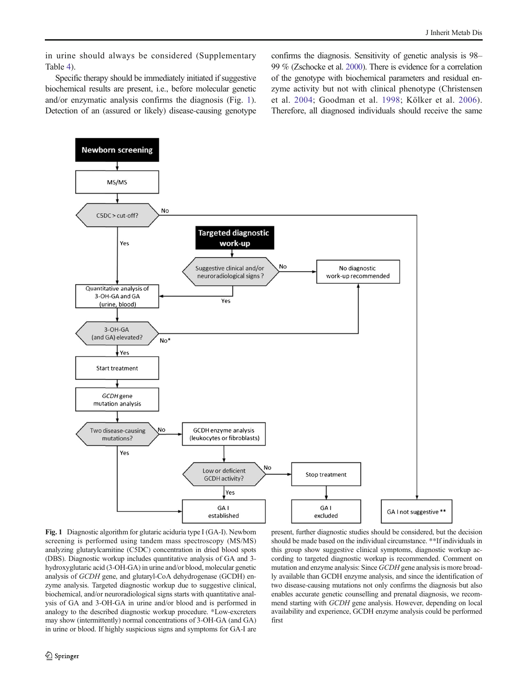<span id="page-7-0"></span>in urine should always be considered (Supplementary Table 4).

Specific therapy should be immediately initiated if suggestive biochemical results are present, i.e., before molecular genetic and/or enzymatic analysis confirms the diagnosis (Fig. 1). Detection of an (assured or likely) disease-causing genotype confirms the diagnosis. Sensitivity of genetic analysis is 98– 99 % (Zschocke et al. [2000\)](#page-26-0). There is evidence for a correlation of the genotype with biochemical parameters and residual enzyme activity but not with clinical phenotype (Christensen et al. [2004;](#page-23-0) Goodman et al. [1998;](#page-23-0) Kölker et al. [2006](#page-24-0)). Therefore, all diagnosed individuals should receive the same



Fig. 1 Diagnostic algorithm for glutaric aciduria type I (GA-I). Newborn screening is performed using tandem mass spectroscopy (MS/MS) analyzing glutarylcarnitine (C5DC) concentration in dried blood spots (DBS). Diagnostic workup includes quantitative analysis of GA and 3 hydroxyglutaric acid (3-OH-GA) in urine and/or blood, molecular genetic analysis of GCDH gene, and glutaryl-CoA dehydrogenase (GCDH) enzyme analysis. Targeted diagnostic workup due to suggestive clinical, biochemical, and/or neuroradiological signs starts with quantitative analysis of GA and 3-OH-GA in urine and/or blood and is performed in analogy to the described diagnostic workup procedure. \*Low-excreters may show (intermittently) normal concentrations of 3-OH-GA (and GA) in urine or blood. If highly suspicious signs and symptoms for GA-I are

present, further diagnostic studies should be considered, but the decision should be made based on the individual circumstance. \*\*If individuals in this group show suggestive clinical symptoms, diagnostic workup according to targeted diagnostic workup is recommended. Comment on mutation and enzyme analysis: Since GCDH gene analysis is more broadly available than GCDH enzyme analysis, and since the identification of two disease-causing mutations not only confirms the diagnosis but also enables accurate genetic counselling and prenatal diagnosis, we recommend starting with GCDH gene analysis. However, depending on local availability and experience, GCDH enzyme analysis could be performed first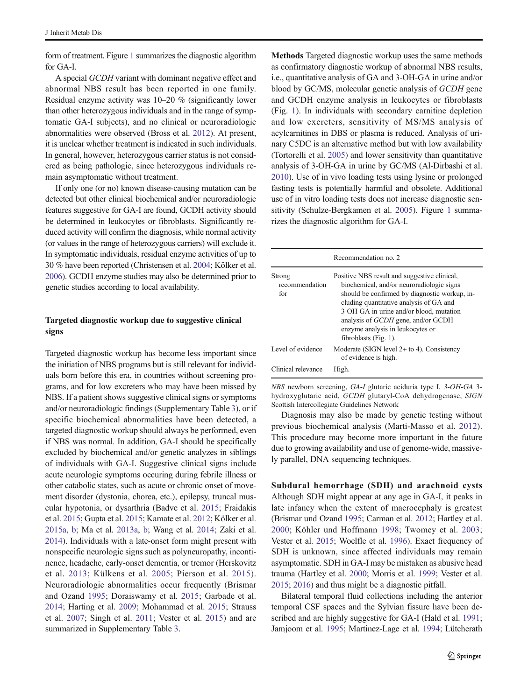form of treatment. Figure [1](#page-7-0) summarizes the diagnostic algorithm for GA-I.

A special GCDH variant with dominant negative effect and abnormal NBS result has been reported in one family. Residual enzyme activity was 10–20 % (significantly lower than other heterozygous individuals and in the range of symptomatic GA-I subjects), and no clinical or neuroradiologic abnormalities were observed (Bross et al. [2012](#page-22-0)). At present, it is unclear whether treatment is indicated in such individuals. In general, however, heterozygous carrier status is not considered as being pathologic, since heterozygous individuals remain asymptomatic without treatment.

If only one (or no) known disease-causing mutation can be detected but other clinical biochemical and/or neuroradiologic features suggestive for GA-I are found, GCDH activity should be determined in leukocytes or fibroblasts. Significantly reduced activity will confirm the diagnosis, while normal activity (or values in the range of heterozygous carriers) will exclude it. In symptomatic individuals, residual enzyme activities of up to 30 % have been reported (Christensen et al. [2004](#page-23-0); Kölker et al. [2006](#page-24-0)). GCDH enzyme studies may also be determined prior to genetic studies according to local availability.

# Targeted diagnostic workup due to suggestive clinical signs

Targeted diagnostic workup has become less important since the initiation of NBS programs but is still relevant for individuals born before this era, in countries without screening programs, and for low excreters who may have been missed by NBS. If a patient shows suggestive clinical signs or symptoms and/or neuroradiologic findings (Supplementary Table 3), or if specific biochemical abnormalities have been detected, a targeted diagnostic workup should always be performed, even if NBS was normal. In addition, GA-I should be specifically excluded by biochemical and/or genetic analyzes in siblings of individuals with GA-I. Suggestive clinical signs include acute neurologic symptoms occuring during febrile illness or other catabolic states, such as acute or chronic onset of movement disorder (dystonia, chorea, etc.), epilepsy, truncal muscular hypotonia, or dysarthria (Badve et al. [2015;](#page-22-0) Fraidakis et al. [2015;](#page-23-0) Gupta et al. [2015;](#page-23-0) Kamate et al. [2012](#page-24-0); Kölker et al. [2015a,](#page-24-0) [b;](#page-24-0) Ma et al. [2013a,](#page-24-0) [b;](#page-24-0) Wang et al. [2014;](#page-26-0) Zaki et al. [2014\)](#page-26-0). Individuals with a late-onset form might present with nonspecific neurologic signs such as polyneuropathy, incontinence, headache, early-onset dementia, or tremor (Herskovitz et al. [2013;](#page-24-0) Külkens et al. [2005;](#page-24-0) Pierson et al. [2015](#page-25-0)). Neuroradiologic abnormalities occur frequently (Brismar and Ozand [1995](#page-22-0); Doraiswamy et al. [2015;](#page-23-0) Garbade et al. [2014;](#page-23-0) Harting et al. [2009;](#page-23-0) Mohammad et al. [2015;](#page-25-0) Strauss et al. [2007](#page-25-0); Singh et al. [2011;](#page-25-0) Vester et al. [2015\)](#page-26-0) and are summarized in Supplementary Table 3.

Methods Targeted diagnostic workup uses the same methods as confirmatory diagnostic workup of abnormal NBS results, i.e., quantitative analysis of GA and 3-OH-GA in urine and/or blood by GC/MS, molecular genetic analysis of GCDH gene and GCDH enzyme analysis in leukocytes or fibroblasts (Fig. [1\)](#page-7-0). In individuals with secondary carnitine depletion and low excreters, sensitivity of MS/MS analysis of acylcarnitines in DBS or plasma is reduced. Analysis of urinary C5DC is an alternative method but with low availability (Tortorelli et al. [2005](#page-25-0)) and lower sensitivity than quantitative analysis of 3-OH-GA in urine by GC/MS (Al-Dirbashi et al. [2010\)](#page-22-0). Use of in vivo loading tests using lysine or prolonged fasting tests is potentially harmful and obsolete. Additional use of in vitro loading tests does not increase diagnostic sensitivity (Schulze-Bergkamen et al. [2005\)](#page-25-0). Figure [1](#page-7-0) summarizes the diagnostic algorithm for GA-I.

|                                 | Recommendation no. 2                                                                                                                                                                                                                                                                                                                          |
|---------------------------------|-----------------------------------------------------------------------------------------------------------------------------------------------------------------------------------------------------------------------------------------------------------------------------------------------------------------------------------------------|
| Strong<br>recommendation<br>for | Positive NBS result and suggestive clinical,<br>biochemical, and/or neuroradiologic signs<br>should be confirmed by diagnostic workup, in-<br>cluding quantitative analysis of GA and<br>3-OH-GA in urine and/or blood, mutation<br>analysis of <i>GCDH</i> gene, and/or GCDH<br>enzyme analysis in leukocytes or<br>fibroblasts $(Fig. 1)$ . |
| Level of evidence               | Moderate (SIGN level $2+$ to 4). Consistency<br>of evidence is high.                                                                                                                                                                                                                                                                          |
| Clinical relevance              | High.                                                                                                                                                                                                                                                                                                                                         |

NBS newborn screening, GA-I glutaric aciduria type I, 3-OH-GA 3 hydroxyglutaric acid, GCDH glutaryl-CoA dehydrogenase, SIGN Scottish Intercollegiate Guidelines Network

Diagnosis may also be made by genetic testing without previous biochemical analysis (Marti-Masso et al. [2012](#page-25-0)). This procedure may become more important in the future due to growing availability and use of genome-wide, massively parallel, DNA sequencing techniques.

Subdural hemorrhage (SDH) and arachnoid cysts Although SDH might appear at any age in GA-I, it peaks in late infancy when the extent of macrocephaly is greatest (Brismar und Ozand [1995](#page-22-0); Carman et al. [2012](#page-22-0); Hartley et al. [2000;](#page-23-0) Köhler und Hoffmann [1998](#page-24-0); Twomey et al. [2003;](#page-26-0) Vester et al. [2015;](#page-26-0) Woelfle et al. [1996](#page-26-0)). Exact frequency of SDH is unknown, since affected individuals may remain asymptomatic. SDH in GA-I may be mistaken as abusive head trauma (Hartley et al. [2000;](#page-23-0) Morris et al. [1999](#page-25-0); Vester et al. [2015;](#page-26-0) [2016\)](#page-26-0) and thus might be a diagnostic pitfall.

Bilateral temporal fluid collections including the anterior temporal CSF spaces and the Sylvian fissure have been de-scribed and are highly suggestive for GA-I (Hald et al. [1991;](#page-23-0) Jamjoom et al. [1995](#page-24-0); Martinez-Lage et al. [1994](#page-25-0); Lütcherath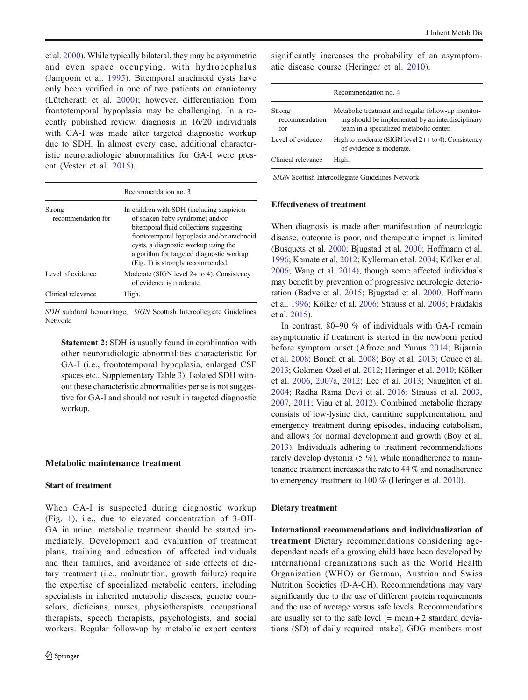et al. [2000\)](#page-24-0). While typically bilateral, they may be asymmetric and even space occupying, with hydrocephalus (Jamjoom et al. [1995\)](#page-24-0). Bitemporal arachnoid cysts have only been verified in one of two patients on craniotomy (Lütcherath et al. [2000](#page-24-0)); however, differentiation from frontotemporal hypoplasia may be challenging. In a recently published review, diagnosis in 16/20 individuals with GA-I was made after targeted diagnostic workup due to SDH. In almost every case, additional characteristic neuroradiologic abnormalities for GA-I were present (Vester et al. [2015](#page-26-0)).

|                              | Recommendation no. 3                                                                                                                                                                                                                                                                           |
|------------------------------|------------------------------------------------------------------------------------------------------------------------------------------------------------------------------------------------------------------------------------------------------------------------------------------------|
| Strong<br>recommendation for | In children with SDH (including suspicion<br>of shaken baby syndrome) and/or<br>bitemporal fluid collections suggesting<br>frontotemporal hypoplasia and/or arachnoid<br>cysts, a diagnostic workup using the<br>algorithm for targeted diagnostic workup<br>(Fig. 1) is strongly recommended. |
| Level of evidence            | Moderate (SIGN level $2+$ to 4). Consistency<br>of evidence is moderate.                                                                                                                                                                                                                       |
| Clinical relevance           | High.                                                                                                                                                                                                                                                                                          |

SDH subdural hemorrhage, SIGN Scottish Intercollegiate Guidelines Network

Statement 2: SDH is usually found in combination with other neuroradiologic abnormalities characteristic for GA-I (i.e., frontotemporal hypoplasia, enlarged CSF spaces etc., Supplementary Table 3). Isolated SDH without these characteristic abnormalities per se is not suggestive for GA-I and should not result in targeted diagnostic workup.

# Metabolic maintenance treatment

# Start of treatment

When GA-I is suspected during diagnostic workup (Fig. [1](#page-7-0)), i.e., due to elevated concentration of 3-OH-GA in urine, metabolic treatment should be started immediately. Development and evaluation of treatment plans, training and education of affected individuals and their families, and avoidance of side effects of dietary treatment (i.e., malnutrition, growth failure) require the expertise of specialized metabolic centers, including specialists in inherited metabolic diseases, genetic counselors, dieticians, nurses, physiotherapists, occupational therapists, speech therapists, psychologists, and social workers. Regular follow-up by metabolic expert centers

significantly increases the probability of an asymptomatic disease course (Heringer et al. [2010\)](#page-23-0).

|                                 | Recommendation no. 4                                                                                                                               |
|---------------------------------|----------------------------------------------------------------------------------------------------------------------------------------------------|
| Strong<br>recommendation<br>for | Metabolic treatment and regular follow-up monitor-<br>ing should be implemented by an interdisciplinary<br>team in a specialized metabolic center. |
| Level of evidence               | High to moderate (SIGN level $2++$ to 4). Consistency<br>of evidence is moderate.                                                                  |
| Clinical relevance              | High.                                                                                                                                              |

SIGN Scottish Intercollegiate Guidelines Network

#### Effectiveness of treatment

When diagnosis is made after manifestation of neurologic disease, outcome is poor, and therapeutic impact is limited (Busquets et al. [2000](#page-22-0); Bjugstad et al. [2000;](#page-22-0) Hoffmann et al. [1996;](#page-24-0) Kamate et al. [2012](#page-24-0); Kyllerman et al. [2004;](#page-24-0) Kölker et al. [2006;](#page-24-0) Wang et al. [2014\)](#page-26-0), though some affected individuals may benefit by prevention of progressive neurologic deterioration (Badve et al. [2015;](#page-22-0) Bjugstad et al. [2000;](#page-22-0) Hoffmann et al. [1996;](#page-24-0) Kölker et al. [2006;](#page-24-0) Strauss et al. [2003;](#page-25-0) Fraidakis et al. [2015](#page-23-0)).

In contrast, 80–90 % of individuals with GA-I remain asymptomatic if treatment is started in the newborn period before symptom onset (Afroze and Yunus [2014](#page-22-0); Bijarnia et al. [2008](#page-22-0); Boneh et al. [2008](#page-22-0); Boy et al. [2013](#page-22-0); Couce et al. [2013;](#page-23-0) Gokmen-Ozel et al. [2012](#page-23-0); Heringer et al. [2010](#page-23-0); Kölker et al. [2006,](#page-24-0) [2007a](#page-24-0), [2012;](#page-24-0) Lee et al. [2013](#page-24-0); Naughten et al. [2004](#page-25-0); Radha Rama Devi et al. [2016;](#page-25-0) Strauss et al. [2003,](#page-25-0) [2007,](#page-25-0) [2011;](#page-25-0) Viau et al. [2012\)](#page-26-0). Combined metabolic therapy consists of low-lysine diet, carnitine supplementation, and emergency treatment during episodes, inducing catabolism, and allows for normal development and growth (Boy et al. [2013](#page-22-0)). Individuals adhering to treatment recommendations rarely develop dystonia (5 %), while nonadherence to maintenance treatment increases the rate to 44 % and nonadherence to emergency treatment to 100 % (Heringer et al. [2010\)](#page-23-0).

#### Dietary treatment

International recommendations and individualization of treatment Dietary recommendations considering agedependent needs of a growing child have been developed by international organizations such as the World Health Organization (WHO) or German, Austrian and Swiss Nutrition Societies (D-A-CH). Recommendations may vary significantly due to the use of different protein requirements and the use of average versus safe levels. Recommendations are usually set to the safe level  $[=$  mean + 2 standard deviations (SD) of daily required intake]. GDG members most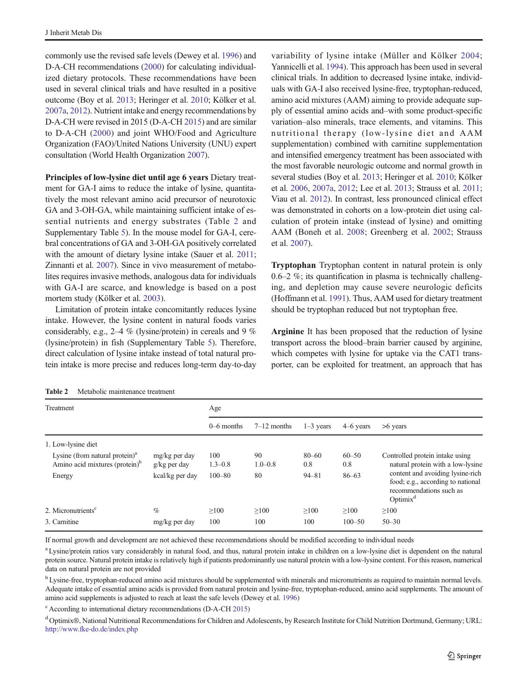<span id="page-10-0"></span>commonly use the revised safe levels (Dewey et al. [1996\)](#page-23-0) and D-A-CH recommendations [\(2000](#page-23-0)) for calculating individualized dietary protocols. These recommendations have been used in several clinical trials and have resulted in a positive outcome (Boy et al. [2013;](#page-22-0) Heringer et al. [2010;](#page-23-0) Kölker et al. [2007a,](#page-24-0) [2012\)](#page-24-0). Nutrient intake and energy recommendations by D-A-CH were revised in 2015 (D-A-CH [2015\)](#page-23-0) and are similar to D-A-CH ([2000](#page-23-0)) and joint WHO/Food and Agriculture Organization (FAO)/United Nations University (UNU) expert consultation (World Health Organization [2007\)](#page-26-0).

Principles of low-lysine diet until age 6 years Dietary treatment for GA-I aims to reduce the intake of lysine, quantitatively the most relevant amino acid precursor of neurotoxic GA and 3-OH-GA, while maintaining sufficient intake of essential nutrients and energy substrates (Table 2 and Supplementary Table 5). In the mouse model for GA-I, cerebral concentrations of GA and 3-OH-GA positively correlated with the amount of dietary lysine intake (Sauer et al. [2011](#page-25-0); Zinnanti et al. [2007](#page-26-0)). Since in vivo measurement of metabolites requires invasive methods, analogous data for individuals with GA-I are scarce, and knowledge is based on a post mortem study (Kölker et al. [2003](#page-24-0)).

Limitation of protein intake concomitantly reduces lysine intake. However, the lysine content in natural foods varies considerably, e.g., 2–4 % (lysine/protein) in cereals and 9 % (lysine/protein) in fish (Supplementary Table 5). Therefore, direct calculation of lysine intake instead of total natural protein intake is more precise and reduces long-term day-to-day

variability of lysine intake (Müller and Kölker [2004;](#page-25-0) Yannicelli et al. [1994](#page-26-0)). This approach has been used in several clinical trials. In addition to decreased lysine intake, individuals with GA-I also received lysine-free, tryptophan-reduced, amino acid mixtures (AAM) aiming to provide adequate supply of essential amino acids and–with some product-specific variation–also minerals, trace elements, and vitamins. This nutritional therapy (low-lysine diet and AAM supplementation) combined with carnitine supplementation and intensified emergency treatment has been associated with the most favorable neurologic outcome and normal growth in several studies (Boy et al. [2013;](#page-22-0) Heringer et al. [2010](#page-23-0); Kölker et al. [2006](#page-24-0), [2007a](#page-24-0), [2012](#page-24-0); Lee et al. [2013;](#page-24-0) Strauss et al. [2011;](#page-25-0) Viau et al. [2012](#page-26-0)). In contrast, less pronounced clinical effect was demonstrated in cohorts on a low-protein diet using calculation of protein intake (instead of lysine) and omitting AAM (Boneh et al. [2008;](#page-22-0) Greenberg et al. [2002;](#page-23-0) Strauss et al. [2007](#page-25-0)).

Tryptophan Tryptophan content in natural protein is only 0.6–2 %; its quantification in plasma is technically challenging, and depletion may cause severe neurologic deficits (Hoffmann et al. [1991\)](#page-24-0). Thus, AAM used for dietary treatment should be tryptophan reduced but not tryptophan free.

Arginine It has been proposed that the reduction of lysine transport across the blood–brain barrier caused by arginine, which competes with lysine for uptake via the CAT1 transporter, can be exploited for treatment, an approach that has

Table 2 Metabolic maintenance treatment

| Treatment                                                                       |                                 | Age                |                   |                  |                  |                                                                                                                 |
|---------------------------------------------------------------------------------|---------------------------------|--------------------|-------------------|------------------|------------------|-----------------------------------------------------------------------------------------------------------------|
|                                                                                 |                                 | $0-6$ months       | $7-12$ months     | $1-3$ years      | $4-6$ vears      | $>6$ years                                                                                                      |
| 1. Low-lysine diet                                                              |                                 |                    |                   |                  |                  |                                                                                                                 |
| Lysine (from natural protein) $a$<br>Amino acid mixtures (protein) <sup>b</sup> | mg/kg per day<br>$g/kg$ per day | 100<br>$1.3 - 0.8$ | 90<br>$1.0 - 0.8$ | $80 - 60$<br>0.8 | $60 - 50$<br>0.8 | Controlled protein intake using<br>natural protein with a low-lysine                                            |
| Energy                                                                          | kcal/kg per day                 | $100 - 80$         | 80                | $94 - 81$        | $86 - 63$        | content and avoiding lysine-rich<br>food; e.g., according to national<br>recommendations such as<br>$Optimix^d$ |
| 2. Micronutrients <sup>c</sup>                                                  | $\%$                            | >100               | >100              | >100             | >100             | $\geq 100$                                                                                                      |
| 3. Carnitine                                                                    | mg/kg per day                   | 100                | 100               | 100              | $100 - 50$       | $50 - 30$                                                                                                       |

If normal growth and development are not achieved these recommendations should be modified according to individual needs

<sup>a</sup> Lysine/protein ratios vary considerably in natural food, and thus, natural protein intake in children on a low-lysine diet is dependent on the natural protein source. Natural protein intake is relatively high if patients predominantly use natural protein with a low-lysine content. For this reason, numerical data on natural protein are not provided

<sup>b</sup> Lysine-free, tryptophan-reduced amino acid mixtures should be supplemented with minerals and micronutrients as required to maintain normal levels. Adequate intake of essential amino acids is provided from natural protein and lysine-free, tryptophan-reduced, amino acid supplements. The amount of amino acid supplements is adjusted to reach at least the safe levels (Dewey et al. [1996](#page-23-0))

<sup>c</sup> According to international dietary recommendations (D-A-CH [2015](#page-23-0))

<sup>d</sup> Optimix®, National Nutritional Recommendations for Children and Adolescents, by Research Institute for Child Nutrition Dortmund, Germany; URL: <http://www.fke-do.de/index.php>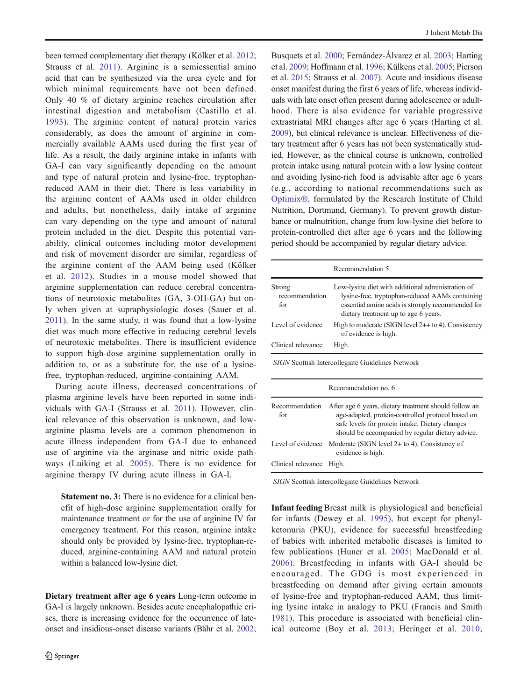been termed complementary diet therapy (Kölker et al. [2012](#page-24-0); Strauss et al. [2011](#page-25-0)). Arginine is a semiessential amino acid that can be synthesized via the urea cycle and for which minimal requirements have not been defined. Only 40 % of dietary arginine reaches circulation after intestinal digestion and metabolism (Castillo et al. [1993\)](#page-22-0). The arginine content of natural protein varies considerably, as does the amount of arginine in commercially available AAMs used during the first year of life. As a result, the daily arginine intake in infants with GA-I can vary significantly depending on the amount and type of natural protein and lysine-free, tryptophanreduced AAM in their diet. There is less variability in the arginine content of AAMs used in older children and adults, but nonetheless, daily intake of arginine can vary depending on the type and amount of natural protein included in the diet. Despite this potential variability, clinical outcomes including motor development and risk of movement disorder are similar, regardless of the arginine content of the AAM being used (Kölker et al. [2012\)](#page-24-0). Studies in a mouse model showed that arginine supplementation can reduce cerebral concentrations of neurotoxic metabolites (GA, 3-OH-GA) but only when given at supraphysiologic doses (Sauer et al. [2011](#page-25-0)). In the same study, it was found that a low-lysine diet was much more effective in reducing cerebral levels of neurotoxic metabolites. There is insufficient evidence to support high-dose arginine supplementation orally in addition to, or as a substitute for, the use of a lysinefree, tryptophan-reduced, arginine-containing AAM.

During acute illness, decreased concentrations of plasma arginine levels have been reported in some individuals with GA-I (Strauss et al. [2011](#page-25-0)). However, clinical relevance of this observation is unknown, and lowarginine plasma levels are a common phenomenon in acute illness independent from GA-I due to enhanced use of arginine via the arginase and nitric oxide pathways (Luiking et al. [2005](#page-24-0)). There is no evidence for arginine therapy IV during acute illness in GA-I.

Statement no. 3: There is no evidence for a clinical benefit of high-dose arginine supplementation orally for maintenance treatment or for the use of arginine IV for emergency treatment. For this reason, arginine intake should only be provided by lysine-free, tryptophan-reduced, arginine-containing AAM and natural protein within a balanced low-lysine diet.

Dietary treatment after age 6 years Long-term outcome in GA-I is largely unknown. Besides acute encephalopathic crises, there is increasing evidence for the occurrence of lateonset and insidious-onset disease variants (Bähr et al. [2002](#page-22-0); Busquets et al. [2000;](#page-22-0) Fernández-Álvarez et al. [2003](#page-23-0); Harting et al. [2009;](#page-23-0) Hoffmann et al. [1996;](#page-24-0) Külkens et al. [2005;](#page-24-0) Pierson et al. [2015](#page-25-0); Strauss et al. [2007](#page-25-0)). Acute and insidious disease onset manifest during the first 6 years of life, whereas individuals with late onset often present during adolescence or adulthood. There is also evidence for variable progressive extrastriatal MRI changes after age 6 years (Harting et al. [2009\)](#page-23-0), but clinical relevance is unclear. Effectiveness of dietary treatment after 6 years has not been systematically studied. However, as the clinical course is unknown, controlled protein intake using natural protein with a low lysine content and avoiding lysine-rich food is advisable after age 6 years (e.g., according to national recommendations such as [Optimix®](#page-25-0), formulated by the Research Institute of Child Nutrition, Dortmund, Germany). To prevent growth disturbance or malnutrition, change from low-lysine diet before to protein-controlled diet after age 6 years and the following period should be accompanied by regular dietary advice.

|                                 | Recommendation 5                                                                                                                                                                                                  |  |
|---------------------------------|-------------------------------------------------------------------------------------------------------------------------------------------------------------------------------------------------------------------|--|
| Strong<br>recommendation<br>for | Low-lysine diet with additional administration of<br>lysine-free, tryptophan-reduced AAMs containing<br>essential amino acids is strongly recommended for<br>dietary treatment up to age 6 years.                 |  |
| Level of evidence               | High to moderate (SIGN level $2++$ to 4). Consistency<br>of evidence is high.                                                                                                                                     |  |
| Clinical relevance<br>High.     |                                                                                                                                                                                                                   |  |
|                                 | SIGN Scottish Intercollegiate Guidelines Network<br>Recommendation no. 6                                                                                                                                          |  |
|                                 |                                                                                                                                                                                                                   |  |
| Recommendation<br>for           | After age 6 years, dietary treatment should follow an<br>age-adapted, protein-controlled protocol based on<br>safe levels for protein intake. Dietary changes<br>should be accompanied by regular dietary advice. |  |
| Level of evidence               | Moderate (SIGN level 2+ to 4). Consistency of<br>evidence is high.                                                                                                                                                |  |
| Clinical relevance              | High.                                                                                                                                                                                                             |  |

SIGN Scottish Intercollegiate Guidelines Network

Infant feeding Breast milk is physiological and beneficial for infants (Dewey et al. [1995\)](#page-23-0), but except for phenylketonuria (PKU), evidence for successful breastfeeding of babies with inherited metabolic diseases is limited to few publications (Huner et al. [2005;](#page-24-0) MacDonald et al. [2006](#page-24-0)). Breastfeeding in infants with GA-I should be encouraged. The GDG is most experienced in breastfeeding on demand after giving certain amounts of lysine-free and tryptophan-reduced AAM, thus limiting lysine intake in analogy to PKU (Francis and Smith [1981](#page-23-0)). This procedure is associated with beneficial clinical outcome (Boy et al. [2013](#page-22-0); Heringer et al. [2010;](#page-23-0)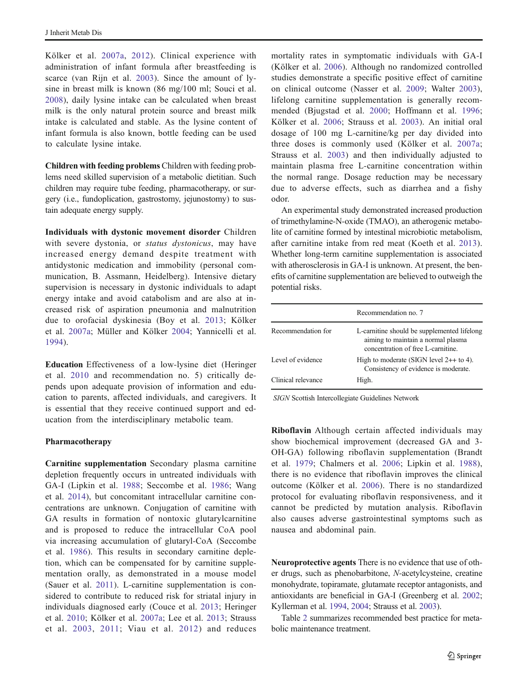Kölker et al. [2007a](#page-24-0), [2012](#page-24-0)). Clinical experience with administration of infant formula after breastfeeding is scarce (van Rijn et al. [2003\)](#page-26-0). Since the amount of lysine in breast milk is known (86 mg/100 ml; Souci et al. [2008](#page-25-0)), daily lysine intake can be calculated when breast milk is the only natural protein source and breast milk intake is calculated and stable. As the lysine content of infant formula is also known, bottle feeding can be used to calculate lysine intake.

Children with feeding problems Children with feeding problems need skilled supervision of a metabolic dietitian. Such children may require tube feeding, pharmacotherapy, or surgery (i.e., fundoplication, gastrostomy, jejunostomy) to sustain adequate energy supply.

Individuals with dystonic movement disorder Children with severe dystonia, or status dystonicus, may have increased energy demand despite treatment with antidystonic medication and immobility (personal communication, B. Assmann, Heidelberg). Intensive dietary supervision is necessary in dystonic individuals to adapt energy intake and avoid catabolism and are also at increased risk of aspiration pneumonia and malnutrition due to orofacial dyskinesia (Boy et al. [2013](#page-22-0); Kölker et al. [2007a](#page-24-0); Müller and Kölker [2004](#page-25-0); Yannicelli et al. [1994](#page-26-0)).

Education Effectiveness of a low-lysine diet (Heringer et al. [2010](#page-23-0) and recommendation no. 5) critically depends upon adequate provision of information and education to parents, affected individuals, and caregivers. It is essential that they receive continued support and education from the interdisciplinary metabolic team.

#### Pharmacotherapy

Carnitine supplementation Secondary plasma carnitine depletion frequently occurs in untreated individuals with GA-I (Lipkin et al. [1988](#page-24-0); Seccombe et al. [1986](#page-25-0); Wang et al. [2014](#page-26-0)), but concomitant intracellular carnitine concentrations are unknown. Conjugation of carnitine with GA results in formation of nontoxic glutarylcarnitine and is proposed to reduce the intracellular CoA pool via increasing accumulation of glutaryl-CoA (Seccombe et al. [1986\)](#page-25-0). This results in secondary carnitine depletion, which can be compensated for by carnitine supplementation orally, as demonstrated in a mouse model (Sauer et al. [2011](#page-25-0)). L-carnitine supplementation is considered to contribute to reduced risk for striatal injury in individuals diagnosed early (Couce et al. [2013;](#page-23-0) Heringer et al. [2010;](#page-23-0) Kölker et al. [2007a](#page-24-0); Lee et al. [2013;](#page-24-0) Strauss et al. [2003](#page-25-0), [2011](#page-25-0); Viau et al. [2012](#page-26-0)) and reduces mortality rates in symptomatic individuals with GA-I (Kölker et al. [2006](#page-24-0)). Although no randomized controlled studies demonstrate a specific positive effect of carnitine on clinical outcome (Nasser et al. [2009;](#page-25-0) Walter [2003](#page-26-0)), lifelong carnitine supplementation is generally recommended (Bjugstad et al. [2000](#page-22-0); Hoffmann et al. [1996;](#page-24-0) Kölker et al. [2006](#page-24-0); Strauss et al. [2003](#page-25-0)). An initial oral dosage of 100 mg L-carnitine/kg per day divided into three doses is commonly used (Kölker et al. [2007a;](#page-24-0) Strauss et al. [2003\)](#page-25-0) and then individually adjusted to maintain plasma free L-carnitine concentration within the normal range. Dosage reduction may be necessary due to adverse effects, such as diarrhea and a fishy odor.

An experimental study demonstrated increased production of trimethylamine-N-oxide (TMAO), an atherogenic metabolite of carnitine formed by intestinal microbiotic metabolism, after carnitine intake from red meat (Koeth et al. [2013](#page-24-0)). Whether long-term carnitine supplementation is associated with atherosclerosis in GA-I is unknown. At present, the benefits of carnitine supplementation are believed to outweigh the potential risks.

|                    | Recommendation no. 7                                                                                                    |
|--------------------|-------------------------------------------------------------------------------------------------------------------------|
| Recommendation for | L-carnitine should be supplemented lifelong<br>aiming to maintain a normal plasma<br>concentration of free L-carnitine. |
| Level of evidence  | High to moderate (SIGN level $2++$ to 4).<br>Consistency of evidence is moderate.                                       |
| Clinical relevance | High.                                                                                                                   |

SIGN Scottish Intercollegiate Guidelines Network

Riboflavin Although certain affected individuals may show biochemical improvement (decreased GA and 3- OH-GA) following riboflavin supplementation (Brandt et al. [1979](#page-22-0); Chalmers et al. [2006;](#page-22-0) Lipkin et al. [1988](#page-24-0)), there is no evidence that riboflavin improves the clinical outcome (Kölker et al. [2006](#page-24-0)). There is no standardized protocol for evaluating riboflavin responsiveness, and it cannot be predicted by mutation analysis. Riboflavin also causes adverse gastrointestinal symptoms such as nausea and abdominal pain.

Neuroprotective agents There is no evidence that use of other drugs, such as phenobarbitone, N-acetylcysteine, creatine monohydrate, topiramate, glutamate receptor antagonists, and antioxidants are beneficial in GA-I (Greenberg et al. [2002;](#page-23-0) Kyllerman et al. [1994](#page-24-0), [2004;](#page-24-0) Strauss et al. [2003\)](#page-25-0).

Table [2](#page-10-0) summarizes recommended best practice for metabolic maintenance treatment.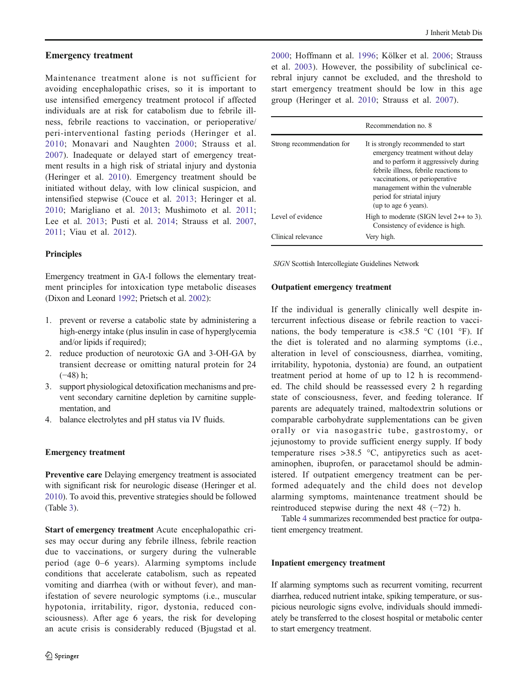# Emergency treatment

Maintenance treatment alone is not sufficient for avoiding encephalopathic crises, so it is important to use intensified emergency treatment protocol if affected individuals are at risk for catabolism due to febrile illness, febrile reactions to vaccination, or perioperative/ peri-interventional fasting periods (Heringer et al. [2010;](#page-23-0) Monavari and Naughten [2000](#page-25-0); Strauss et al. [2007](#page-25-0)). Inadequate or delayed start of emergency treatment results in a high risk of striatal injury and dystonia (Heringer et al. [2010\)](#page-23-0). Emergency treatment should be initiated without delay, with low clinical suspicion, and intensified stepwise (Couce et al. [2013](#page-23-0); Heringer et al. [2010](#page-23-0); Marigliano et al. [2013](#page-24-0); Mushimoto et al. [2011](#page-25-0); Lee et al. [2013](#page-24-0); Pusti et al. [2014;](#page-25-0) Strauss et al. [2007,](#page-25-0) [2011](#page-25-0); Viau et al. [2012](#page-26-0)).

# Principles

Emergency treatment in GA-I follows the elementary treatment principles for intoxication type metabolic diseases (Dixon and Leonard [1992](#page-23-0); Prietsch et al. [2002](#page-25-0)):

- 1. prevent or reverse a catabolic state by administering a high-energy intake (plus insulin in case of hyperglycemia and/or lipids if required);
- 2. reduce production of neurotoxic GA and 3-OH-GA by transient decrease or omitting natural protein for 24 (−48) h;
- 3. support physiological detoxification mechanisms and prevent secondary carnitine depletion by carnitine supplementation, and
- 4. balance electrolytes and pH status via IV fluids.

# Emergency treatment

Preventive care Delaying emergency treatment is associated with significant risk for neurologic disease (Heringer et al. [2010\)](#page-23-0). To avoid this, preventive strategies should be followed (Table [3](#page-14-0)).

Start of emergency treatment Acute encephalopathic crises may occur during any febrile illness, febrile reaction due to vaccinations, or surgery during the vulnerable period (age 0–6 years). Alarming symptoms include conditions that accelerate catabolism, such as repeated vomiting and diarrhea (with or without fever), and manifestation of severe neurologic symptoms (i.e., muscular hypotonia, irritability, rigor, dystonia, reduced consciousness). After age 6 years, the risk for developing an acute crisis is considerably reduced (Bjugstad et al. [2000](#page-22-0); Hoffmann et al. [1996](#page-24-0); Kölker et al. [2006](#page-24-0); Strauss et al. [2003\)](#page-25-0). However, the possibility of subclinical cerebral injury cannot be excluded, and the threshold to start emergency treatment should be low in this age group (Heringer et al. [2010](#page-23-0); Strauss et al. [2007\)](#page-25-0).

|                           | Recommendation no. 8                                                                                                                                                                                                                                                                   |
|---------------------------|----------------------------------------------------------------------------------------------------------------------------------------------------------------------------------------------------------------------------------------------------------------------------------------|
| Strong recommendation for | It is strongly recommended to start<br>emergency treatment without delay<br>and to perform it aggressively during<br>febrile illness, febrile reactions to<br>vaccinations, or perioperative<br>management within the vulnerable<br>period for striatal injury<br>(up to age 6 years). |
| Level of evidence         | High to moderate (SIGN level $2++$ to 3).<br>Consistency of evidence is high.                                                                                                                                                                                                          |
| Clinical relevance        | Very high.                                                                                                                                                                                                                                                                             |

SIGN Scottish Intercollegiate Guidelines Network

#### Outpatient emergency treatment

If the individual is generally clinically well despite intercurrent infectious disease or febrile reaction to vaccinations, the body temperature is <38.5  $\degree$ C (101  $\degree$ F). If the diet is tolerated and no alarming symptoms (i.e., alteration in level of consciousness, diarrhea, vomiting, irritability, hypotonia, dystonia) are found, an outpatient treatment period at home of up to 12 h is recommended. The child should be reassessed every 2 h regarding state of consciousness, fever, and feeding tolerance. If parents are adequately trained, maltodextrin solutions or comparable carbohydrate supplementations can be given orally or via nasogastric tube, gastrostomy, or jejunostomy to provide sufficient energy supply. If body temperature rises >38.5 °C, antipyretics such as acetaminophen, ibuprofen, or paracetamol should be administered. If outpatient emergency treatment can be performed adequately and the child does not develop alarming symptoms, maintenance treatment should be reintroduced stepwise during the next 48 (−72) h.

Table [4](#page-15-0) summarizes recommended best practice for outpatient emergency treatment.

#### Inpatient emergency treatment

If alarming symptoms such as recurrent vomiting, recurrent diarrhea, reduced nutrient intake, spiking temperature, or suspicious neurologic signs evolve, individuals should immediately be transferred to the closest hospital or metabolic center to start emergency treatment.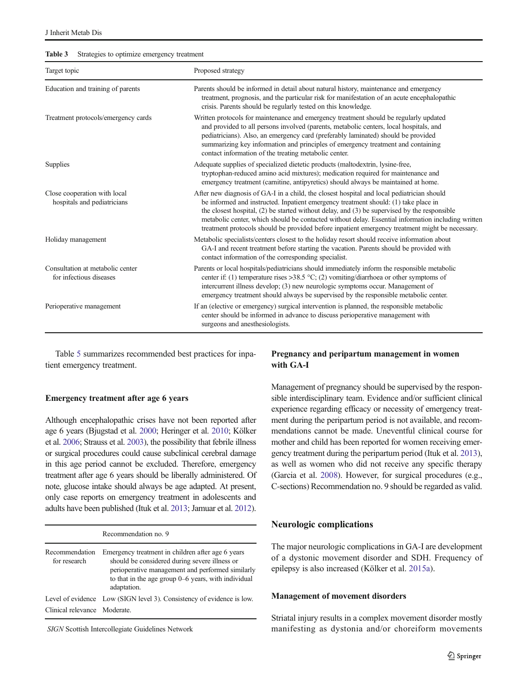### <span id="page-14-0"></span>Table 3 Strategies to optimize emergency treatment

| Target topic                                                | Proposed strategy                                                                                                                                                                                                                                                                                                                                                                                                                                                                          |
|-------------------------------------------------------------|--------------------------------------------------------------------------------------------------------------------------------------------------------------------------------------------------------------------------------------------------------------------------------------------------------------------------------------------------------------------------------------------------------------------------------------------------------------------------------------------|
| Education and training of parents                           | Parents should be informed in detail about natural history, maintenance and emergency<br>treatment, prognosis, and the particular risk for manifestation of an acute encephalopathic<br>crisis. Parents should be regularly tested on this knowledge.                                                                                                                                                                                                                                      |
| Treatment protocols/emergency cards                         | Written protocols for maintenance and emergency treatment should be regularly updated<br>and provided to all persons involved (parents, metabolic centers, local hospitals, and<br>pediatricians). Also, an emergency card (preferably laminated) should be provided<br>summarizing key information and principles of emergency treatment and containing<br>contact information of the treating metabolic center.                                                                          |
| <b>Supplies</b>                                             | Adequate supplies of specialized dietetic products (maltodextrin, lysine-free,<br>tryptophan-reduced amino acid mixtures); medication required for maintenance and<br>emergency treatment (carnitine, antipyretics) should always be maintained at home.                                                                                                                                                                                                                                   |
| Close cooperation with local<br>hospitals and pediatricians | After new diagnosis of GA-I in a child, the closest hospital and local pediatrician should<br>be informed and instructed. Inpatient emergency treatment should: (1) take place in<br>the closest hospital, (2) be started without delay, and (3) be supervised by the responsible<br>metabolic center, which should be contacted without delay. Essential information including written<br>treatment protocols should be provided before inpatient emergency treatment might be necessary. |
| Holiday management                                          | Metabolic specialists/centers closest to the holiday resort should receive information about<br>GA-I and recent treatment before starting the vacation. Parents should be provided with<br>contact information of the corresponding specialist.                                                                                                                                                                                                                                            |
| Consultation at metabolic center<br>for infectious diseases | Parents or local hospitals/pediatricians should immediately inform the responsible metabolic<br>center if: (1) temperature rises >38.5 °C; (2) vomiting/diarrhoea or other symptoms of<br>intercurrent illness develop; (3) new neurologic symptoms occur. Management of<br>emergency treatment should always be supervised by the responsible metabolic center.                                                                                                                           |
| Perioperative management                                    | If an (elective or emergency) surgical intervention is planned, the responsible metabolic<br>center should be informed in advance to discuss perioperative management with<br>surgeons and anesthesiologists.                                                                                                                                                                                                                                                                              |

Table [5](#page-15-0) summarizes recommended best practices for inpatient emergency treatment.

### Emergency treatment after age 6 years

Although encephalopathic crises have not been reported after age 6 years (Bjugstad et al. [2000](#page-22-0); Heringer et al. [2010;](#page-23-0) Kölker et al. [2006;](#page-24-0) Strauss et al. [2003](#page-25-0)), the possibility that febrile illness or surgical procedures could cause subclinical cerebral damage in this age period cannot be excluded. Therefore, emergency treatment after age 6 years should be liberally administered. Of note, glucose intake should always be age adapted. At present, only case reports on emergency treatment in adolescents and adults have been published (Ituk et al. [2013;](#page-24-0) Jamuar et al. [2012\)](#page-24-0).

|                                | Recommendation no. 9                                                                                                                                                                                                           |
|--------------------------------|--------------------------------------------------------------------------------------------------------------------------------------------------------------------------------------------------------------------------------|
| Recommendation<br>for research | Emergency treatment in children after age 6 years<br>should be considered during severe illness or<br>perioperative management and performed similarly<br>to that in the age group $0-6$ years, with individual<br>adaptation. |
|                                | Level of evidence Low (SIGN level 3). Consistency of evidence is low.                                                                                                                                                          |
| Clinical relevance Moderate.   |                                                                                                                                                                                                                                |

SIGN Scottish Intercollegiate Guidelines Network

# Pregnancy and peripartum management in women with GA-I

Management of pregnancy should be supervised by the responsible interdisciplinary team. Evidence and/or sufficient clinical experience regarding efficacy or necessity of emergency treatment during the peripartum period is not available, and recommendations cannot be made. Uneventful clinical course for mother and child has been reported for women receiving emergency treatment during the peripartum period (Ituk et al. [2013\)](#page-24-0), as well as women who did not receive any specific therapy (Garcia et al. [2008\)](#page-23-0). However, for surgical procedures (e.g., C-sections) Recommendation no. 9 should be regarded as valid.

### Neurologic complications

The major neurologic complications in GA-I are development of a dystonic movement disorder and SDH. Frequency of epilepsy is also increased (Kölker et al. [2015a](#page-24-0)).

#### Management of movement disorders

Striatal injury results in a complex movement disorder mostly manifesting as dystonia and/or choreiform movements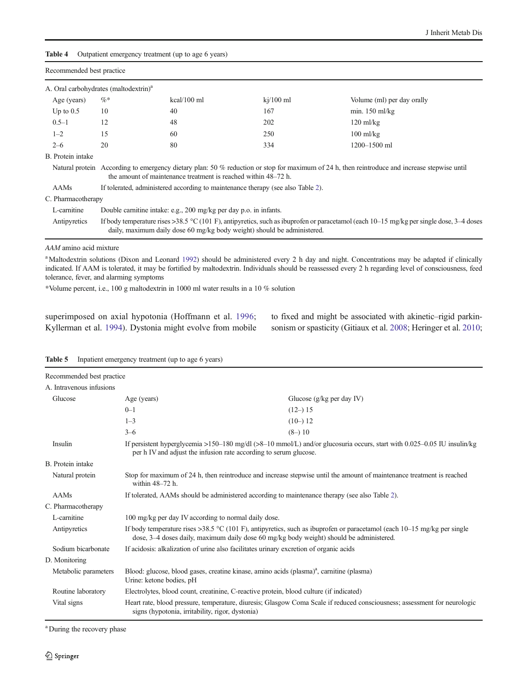<span id="page-15-0"></span>

| <b>Table 4</b> |  |  |  | Outpatient emergency treatment (up to age 6 years) |  |
|----------------|--|--|--|----------------------------------------------------|--|
|----------------|--|--|--|----------------------------------------------------|--|

| Recommended best practice |                                                                                 |                                                                         |             |                                                                                                                                               |
|---------------------------|---------------------------------------------------------------------------------|-------------------------------------------------------------------------|-------------|-----------------------------------------------------------------------------------------------------------------------------------------------|
|                           | A. Oral carbohydrates (maltodextrin) <sup>a</sup>                               |                                                                         |             |                                                                                                                                               |
| Age (years)               | $\%*$                                                                           | kcal/100 ml                                                             | $ki/100$ ml | Volume (ml) per day orally                                                                                                                    |
| Up to $0.5$               | 10                                                                              | 40                                                                      | 167         | min. $150$ ml/kg                                                                                                                              |
| $0.5 - 1$                 | 12                                                                              | 48                                                                      | 202         | $120 \text{ ml/kg}$                                                                                                                           |
| $1 - 2$                   | 15                                                                              | 60                                                                      | 250         | $100$ ml/kg                                                                                                                                   |
| $2 - 6$                   | 20                                                                              | 80                                                                      | 334         | 1200-1500 ml                                                                                                                                  |
| B. Protein intake         |                                                                                 |                                                                         |             |                                                                                                                                               |
|                           |                                                                                 | the amount of maintenance treatment is reached within 48–72 h.          |             | Natural protein According to emergency dietary plan: 50 % reduction or stop for maximum of 24 h, then reintroduce and increase stepwise until |
| <b>AAMs</b>               | If tolerated, administered according to maintenance therapy (see also Table 2). |                                                                         |             |                                                                                                                                               |
| C. Pharmacotherapy        |                                                                                 |                                                                         |             |                                                                                                                                               |
| L-carnitine               |                                                                                 | Double carnitine intake: e.g., 200 mg/kg per day p.o. in infants.       |             |                                                                                                                                               |
| Antipyretics              |                                                                                 | daily, maximum daily dose 60 mg/kg body weight) should be administered. |             | If body temperature rises >38.5 °C (101 F), antipyretics, such as ibuprofen or paracetamol (each 10–15 mg/kg per single dose, 3–4 doses       |

AAM amino acid mixture

<sup>a</sup> Maltodextrin solutions (Dixon and Leonard [1992\)](#page-23-0) should be administered every 2 h day and night. Concentrations may be adapted if clinically indicated. If AAM is tolerated, it may be fortified by maltodextrin. Individuals should be reassessed every 2 h regarding level of consciousness, feed tolerance, fever, and alarming symptoms

\*Volume percent, i.e., 100 g maltodextrin in 1000 ml water results in a 10 % solution

| superimposed on axial hypotonia (Hoffmann et al. 1996;    |  |  |  |  |
|-----------------------------------------------------------|--|--|--|--|
| Kyllerman et al. 1994). Dystonia might evolve from mobile |  |  |  |  |

to fixed and might be associated with akinetic–rigid parkinsonism or spasticity (Gitiaux et al. [2008;](#page-23-0) Heringer et al. [2010;](#page-23-0)

| Recommended best practice |                                                                                                                                  |                                                                                                                           |
|---------------------------|----------------------------------------------------------------------------------------------------------------------------------|---------------------------------------------------------------------------------------------------------------------------|
| A. Intravenous infusions  |                                                                                                                                  |                                                                                                                           |
| Glucose                   | Age (years)                                                                                                                      | Glucose $(g/kg \nper day IV)$                                                                                             |
|                           | $0 - 1$                                                                                                                          | $(12-)15$                                                                                                                 |
|                           | $1 - 3$                                                                                                                          | $(10-)12$                                                                                                                 |
|                           | $3 - 6$                                                                                                                          | $(8-)10$                                                                                                                  |
| Insulin                   | per h IV and adjust the infusion rate according to serum glucose.                                                                | If persistent hyperglycemia >150-180 mg/dl (>8-10 mmol/L) and/or glucosuria occurs, start with 0.025-0.05 IU insulin/kg   |
| B. Protein intake         |                                                                                                                                  |                                                                                                                           |
| Natural protein           | within 48-72 h.                                                                                                                  | Stop for maximum of 24 h, then reintroduce and increase stepwise until the amount of maintenance treatment is reached     |
| AAMs                      | If tolerated, AAMs should be administered according to maintenance therapy (see also Table 2).                                   |                                                                                                                           |
| C. Pharmacotherapy        |                                                                                                                                  |                                                                                                                           |
| L-carnitine               | 100 mg/kg per day IV according to normal daily dose.                                                                             |                                                                                                                           |
| Antipyretics              | dose, 3–4 doses daily, maximum daily dose 60 mg/kg body weight) should be administered.                                          | If body temperature rises >38.5 °C (101 F), antipyretics, such as ibuprofen or paracetamol (each $10-15$ mg/kg per single |
| Sodium bicarbonate        | If acidosis: alkalization of urine also facilitates urinary excretion of organic acids                                           |                                                                                                                           |
| D. Monitoring             |                                                                                                                                  |                                                                                                                           |
| Metabolic parameters      | Blood: glucose, blood gases, creatine kinase, amino acids (plasma) <sup>a</sup> , carnitine (plasma)<br>Urine: ketone bodies, pH |                                                                                                                           |
| Routine laboratory        | Electrolytes, blood count, creatinine, C-reactive protein, blood culture (if indicated)                                          |                                                                                                                           |
| Vital signs               | signs (hypotonia, irritability, rigor, dystonia)                                                                                 | Heart rate, blood pressure, temperature, diuresis; Glasgow Coma Scale if reduced consciousness; assessment for neurologic |

Table 5 Inpatient emergency treatment (up to age 6 years)

<sup>a</sup> During the recovery phase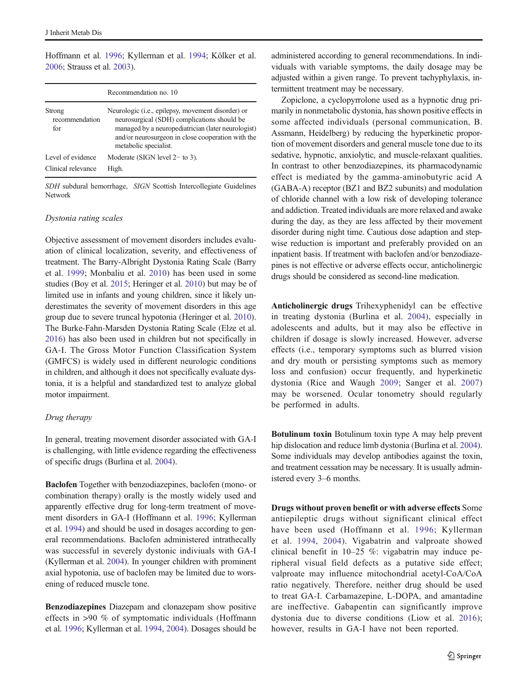Hoffmann et al. [1996;](#page-24-0) Kyllerman et al. [1994](#page-24-0); Kölker et al. [2006;](#page-24-0) Strauss et al. [2003](#page-25-0)).

|                                 | Recommendation no. 10                                                                                                                                                                                                                         |
|---------------------------------|-----------------------------------------------------------------------------------------------------------------------------------------------------------------------------------------------------------------------------------------------|
| Strong<br>recommendation<br>for | Neurologic ( <i>i.e.</i> , epilepsy, movement disorder) or<br>neurosurgical (SDH) complications should be<br>managed by a neuropediatrician (later neurologist)<br>and/or neurosurgeon in close cooperation with the<br>metabolic specialist. |
| Level of evidence               | Moderate (SIGN level $2-$ to 3).                                                                                                                                                                                                              |
| Clinical relevance              | High.                                                                                                                                                                                                                                         |

SDH subdural hemorrhage, SIGN Scottish Intercollegiate Guidelines Network

#### Dystonia rating scales

Objective assessment of movement disorders includes evaluation of clinical localization, severity, and effectiveness of treatment. The Barry-Albright Dystonia Rating Scale (Barry et al. [1999](#page-22-0); Monbaliu et al. [2010](#page-25-0)) has been used in some studies (Boy et al. [2015](#page-22-0); Heringer et al. [2010](#page-23-0)) but may be of limited use in infants and young children, since it likely underestimates the severity of movement disorders in this age group due to severe truncal hypotonia (Heringer et al. [2010\)](#page-23-0). The Burke-Fahn-Marsden Dystonia Rating Scale (Elze et al. [2016\)](#page-23-0) has also been used in children but not specifically in GA-I. The Gross Motor Function Classification System (GMFCS) is widely used in different neurologic conditions in children, and although it does not specifically evaluate dystonia, it is a helpful and standardized test to analyze global motor impairment.

#### Drug therapy

In general, treating movement disorder associated with GA-I is challenging, with little evidence regarding the effectiveness of specific drugs (Burlina et al. [2004](#page-22-0)).

Baclofen Together with benzodiazepines, baclofen (mono- or combination therapy) orally is the mostly widely used and apparently effective drug for long-term treatment of movement disorders in GA-I (Hoffmann et al. [1996;](#page-24-0) Kyllerman et al. [1994](#page-24-0)) and should be used in dosages according to general recommendations. Baclofen administered intrathecally was successful in severely dystonic indiviuals with GA-I (Kyllerman et al. [2004](#page-24-0)). In younger children with prominent axial hypotonia, use of baclofen may be limited due to worsening of reduced muscle tone.

Benzodiazepines Diazepam and clonazepam show positive effects in >90 % of symptomatic individuals (Hoffmann et al. [1996](#page-24-0); Kyllerman et al. [1994,](#page-24-0) [2004](#page-24-0)). Dosages should be

administered according to general recommendations. In individuals with variable symptoms, the daily dosage may be adjusted within a given range. To prevent tachyphylaxis, intermittent treatment may be necessary.

Zopiclone, a cyclopyrrolone used as a hypnotic drug primarily in nonmetabolic dystonia, has shown positive effects in some affected individuals (personal communication, B. Assmann, Heidelberg) by reducing the hyperkinetic proportion of movement disorders and general muscle tone due to its sedative, hypnotic, anxiolytic, and muscle-relaxant qualities. In contrast to other benzodiazepines, its pharmacodynamic effect is mediated by the gamma-aminobutyric acid A (GABA-A) receptor (BZ1 and BZ2 subunits) and modulation of chloride channel with a low risk of developing tolerance and addiction. Treated individuals are more relaxed and awake during the day, as they are less affected by their movement disorder during night time. Cautious dose adaption and stepwise reduction is important and preferably provided on an inpatient basis. If treatment with baclofen and/or benzodiazepines is not effective or adverse effects occur, anticholinergic drugs should be considered as second-line medication.

Anticholinergic drugs Trihexyphenidyl can be effective in treating dystonia (Burlina et al. [2004](#page-22-0)), especially in adolescents and adults, but it may also be effective in children if dosage is slowly increased. However, adverse effects (i.e., temporary symptoms such as blurred vision and dry mouth or persisting symptoms such as memory loss and confusion) occur frequently, and hyperkinetic dystonia (Rice and Waugh [2009;](#page-25-0) Sanger et al. [2007](#page-25-0)) may be worsened. Ocular tonometry should regularly be performed in adults.

Botulinum toxin Botulinum toxin type A may help prevent hip dislocation and reduce limb dystonia (Burlina et al. [2004\)](#page-22-0). Some individuals may develop antibodies against the toxin, and treatment cessation may be necessary. It is usually administered every 3–6 months.

Drugs without proven benefit or with adverse effects Some antiepileptic drugs without significant clinical effect have been used (Hoffmann et al. [1996;](#page-24-0) Kyllerman et al. [1994](#page-24-0), [2004\)](#page-24-0). Vigabatrin and valproate showed clinical benefit in 10–25 %: vigabatrin may induce peripheral visual field defects as a putative side effect; valproate may influence mitochondrial acetyl-CoA/CoA ratio negatively. Therefore, neither drug should be used to treat GA-I. Carbamazepine, L-DOPA, and amantadine are ineffective. Gabapentin can significantly improve dystonia due to diverse conditions (Liow et al. [2016](#page-24-0)); however, results in GA-I have not been reported.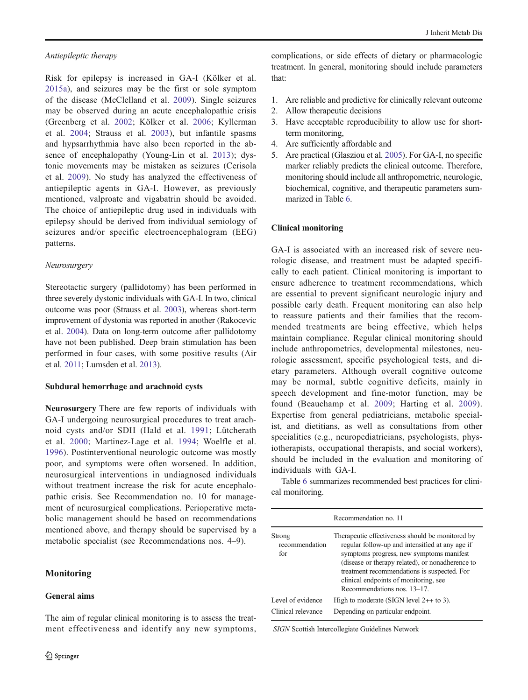# Antiepileptic therapy

Risk for epilepsy is increased in GA-I (Kölker et al. [2015a\)](#page-24-0), and seizures may be the first or sole symptom of the disease (McClelland et al. [2009](#page-25-0)). Single seizures may be observed during an acute encephalopathic crisis (Greenberg et al. [2002;](#page-23-0) Kölker et al. [2006](#page-24-0); Kyllerman et al. [2004](#page-24-0); Strauss et al. [2003](#page-25-0)), but infantile spasms and hypsarrhythmia have also been reported in the absence of encephalopathy (Young-Lin et al. [2013\)](#page-26-0); dystonic movements may be mistaken as seizures (Cerisola et al. [2009\)](#page-22-0). No study has analyzed the effectiveness of antiepileptic agents in GA-I. However, as previously mentioned, valproate and vigabatrin should be avoided. The choice of antiepileptic drug used in individuals with epilepsy should be derived from individual semiology of seizures and/or specific electroencephalogram (EEG) patterns.

# Neurosurgery

Stereotactic surgery (pallidotomy) has been performed in three severely dystonic individuals with GA-I. In two, clinical outcome was poor (Strauss et al. [2003\)](#page-25-0), whereas short-term improvement of dystonia was reported in another (Rakocevic et al. [2004\)](#page-25-0). Data on long-term outcome after pallidotomy have not been published. Deep brain stimulation has been performed in four cases, with some positive results (Air et al. [2011;](#page-22-0) Lumsden et al. [2013](#page-24-0)).

### Subdural hemorrhage and arachnoid cysts

Neurosurgery There are few reports of individuals with GA-I undergoing neurosurgical procedures to treat arachnoid cysts and/or SDH (Hald et al. [1991](#page-23-0); Lütcherath et al. [2000](#page-24-0); Martinez-Lage et al. [1994](#page-25-0); Woelfle et al. [1996](#page-26-0)). Postinterventional neurologic outcome was mostly poor, and symptoms were often worsened. In addition, neurosurgical interventions in undiagnosed individuals without treatment increase the risk for acute encephalopathic crisis. See Recommendation no. 10 for management of neurosurgical complications. Perioperative metabolic management should be based on recommendations mentioned above, and therapy should be supervised by a metabolic specialist (see Recommendations nos. 4–9).

# **Monitoring**

# General aims

The aim of regular clinical monitoring is to assess the treatment effectiveness and identify any new symptoms, complications, or side effects of dietary or pharmacologic treatment. In general, monitoring should include parameters that:

- 1. Are reliable and predictive for clinically relevant outcome
- 2. Allow therapeutic decisions
- 3. Have acceptable reproducibility to allow use for shortterm monitoring,
- 4. Are sufficiently affordable and
- 5. Are practical (Glasziou et al. [2005\)](#page-23-0). For GA-I, no specific marker reliably predicts the clinical outcome. Therefore, monitoring should include all anthropometric, neurologic, biochemical, cognitive, and therapeutic parameters summarized in Table [6](#page-18-0).

# Clinical monitoring

GA-I is associated with an increased risk of severe neurologic disease, and treatment must be adapted specifically to each patient. Clinical monitoring is important to ensure adherence to treatment recommendations, which are essential to prevent significant neurologic injury and possible early death. Frequent monitoring can also help to reassure patients and their families that the recommended treatments are being effective, which helps maintain compliance. Regular clinical monitoring should include anthropometrics, developmental milestones, neurologic assessment, specific psychological tests, and dietary parameters. Although overall cognitive outcome may be normal, subtle cognitive deficits, mainly in speech development and fine-motor function, may be found (Beauchamp et al. [2009](#page-22-0); Harting et al. [2009](#page-23-0)). Expertise from general pediatricians, metabolic specialist, and dietitians, as well as consultations from other specialities (e.g., neuropediatricians, psychologists, physiotherapists, occupational therapists, and social workers), should be included in the evaluation and monitoring of individuals with GA-I.

Table [6](#page-18-0) summarizes recommended best practices for clinical monitoring.

|                                         | Recommendation no. 11                                                                                                                                                                                                                                                                                                      |
|-----------------------------------------|----------------------------------------------------------------------------------------------------------------------------------------------------------------------------------------------------------------------------------------------------------------------------------------------------------------------------|
| Strong<br>recommendation<br>for         | Therapeutic effectiveness should be monitored by<br>regular follow-up and intensified at any age if<br>symptoms progress, new symptoms manifest<br>(disease or therapy related), or nonadherence to<br>treatment recommendations is suspected. For<br>clinical endpoints of monitoring, see<br>Recommendations nos. 13-17. |
| Level of evidence<br>Clinical relevance | High to moderate (SIGN level $2++$ to 3).<br>Depending on particular endpoint.                                                                                                                                                                                                                                             |
|                                         |                                                                                                                                                                                                                                                                                                                            |

SIGN Scottish Intercollegiate Guidelines Network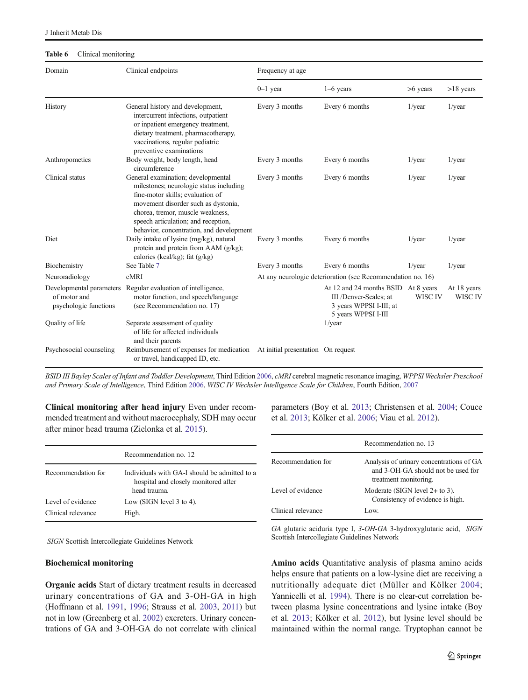### <span id="page-18-0"></span>Table 6 Clinical monitoring

| Domain                                | Clinical endpoints                                                                                                                                                                                                                                                              | Frequency at age                   |                                                                                                                 |            |                        |
|---------------------------------------|---------------------------------------------------------------------------------------------------------------------------------------------------------------------------------------------------------------------------------------------------------------------------------|------------------------------------|-----------------------------------------------------------------------------------------------------------------|------------|------------------------|
|                                       |                                                                                                                                                                                                                                                                                 | $0-1$ year                         | $1-6$ years                                                                                                     | $>6$ years | $>18$ years            |
| History                               | General history and development,<br>intercurrent infections, outpatient<br>or inpatient emergency treatment,<br>dietary treatment, pharmacotherapy,<br>vaccinations, regular pediatric<br>preventive examinations                                                               | Every 3 months                     | Every 6 months                                                                                                  | $1$ /year  | $1$ /year              |
| Anthropometics                        | Body weight, body length, head<br>circumference                                                                                                                                                                                                                                 | Every 3 months                     | Every 6 months                                                                                                  | $1$ /year  | $1$ /year              |
| Clinical status                       | General examination; developmental<br>milestones; neurologic status including<br>fine-motor skills: evaluation of<br>movement disorder such as dystonia,<br>chorea, tremor, muscle weakness,<br>speech articulation; and reception,<br>behavior, concentration, and development | Every 3 months                     | Every 6 months                                                                                                  | $1$ /year  | $1$ /year              |
| Diet                                  | Daily intake of lysine (mg/kg), natural<br>protein and protein from AAM (g/kg);<br>calories (kcal/kg); fat (g/kg)                                                                                                                                                               | Every 3 months                     | Every 6 months                                                                                                  | $1$ /year  | $1$ /year              |
| Biochemistry                          | See Table 7                                                                                                                                                                                                                                                                     | Every 3 months                     | Every 6 months                                                                                                  | $1$ /year  | $1$ /year              |
| Neuroradiology                        | cMRI                                                                                                                                                                                                                                                                            |                                    | At any neurologic deterioration (see Recommendation no. 16)                                                     |            |                        |
| of motor and<br>psychologic functions | Developmental parameters Regular evaluation of intelligence,<br>motor function, and speech/language<br>(see Recommendation no. 17)                                                                                                                                              |                                    | At 12 and 24 months BSID At 8 years<br>III /Denver-Scales: at<br>3 years WPPSI I-III; at<br>5 years WPPSI I-III | WISC IV    | At 18 years<br>WISC IV |
| Quality of life                       | Separate assessment of quality<br>of life for affected individuals<br>and their parents                                                                                                                                                                                         |                                    | $1$ /year                                                                                                       |            |                        |
| Psychosocial counseling               | Reimbursement of expenses for medication<br>or travel, handicapped ID, etc.                                                                                                                                                                                                     | At initial presentation On request |                                                                                                                 |            |                        |

BSID III Bayley Scales of Infant and Toddler Development, Third Edition [2006](#page-22-0), cMRI cerebral magnetic resonance imaging, WPPSI Wechsler Preschool and Primary Scale of Intelligence, Third Edition [2006,](#page-26-0) WISC IV Wechsler Intelligence Scale for Children, Fourth Edition, [2007](#page-26-0)

Clinical monitoring after head injury Even under recommended treatment and without macrocephaly, SDH may occur after minor head trauma (Zielonka et al. [2015\)](#page-26-0).

|                    | Recommendation no. 12                                                                                 |
|--------------------|-------------------------------------------------------------------------------------------------------|
| Recommendation for | Individuals with GA-I should be admitted to a<br>hospital and closely monitored after<br>head trauma. |
| Level of evidence  | Low (SIGN level $3$ to $4$ ).                                                                         |
| Clinical relevance | High.                                                                                                 |

SIGN Scottish Intercollegiate Guidelines Network

#### Biochemical monitoring

Organic acids Start of dietary treatment results in decreased urinary concentrations of GA and 3-OH-GA in high (Hoffmann et al. [1991,](#page-24-0) [1996](#page-24-0); Strauss et al. [2003](#page-25-0), [2011](#page-25-0)) but not in low (Greenberg et al. [2002\)](#page-23-0) excreters. Urinary concentrations of GA and 3-OH-GA do not correlate with clinical parameters (Boy et al. [2013](#page-22-0); Christensen et al. [2004](#page-23-0); Couce et al. [2013](#page-23-0); Kölker et al. [2006](#page-24-0); Viau et al. [2012\)](#page-26-0).

|                    | Recommendation no. 13                                                                                   |
|--------------------|---------------------------------------------------------------------------------------------------------|
| Recommendation for | Analysis of urinary concentrations of GA<br>and 3-OH-GA should not be used for<br>treatment monitoring. |
| Level of evidence  | Moderate (SIGN level 2+ to 3).<br>Consistency of evidence is high.                                      |
| Clinical relevance | Low.                                                                                                    |

GA glutaric aciduria type I, 3-OH-GA 3-hydroxyglutaric acid, SIGN Scottish Intercollegiate Guidelines Network

Amino acids Quantitative analysis of plasma amino acids helps ensure that patients on a low-lysine diet are receiving a nutritionally adequate diet (Müller and Kölker [2004;](#page-25-0) Yannicelli et al. [1994\)](#page-26-0). There is no clear-cut correlation between plasma lysine concentrations and lysine intake (Boy et al. [2013;](#page-22-0) Kölker et al. [2012](#page-24-0)), but lysine level should be maintained within the normal range. Tryptophan cannot be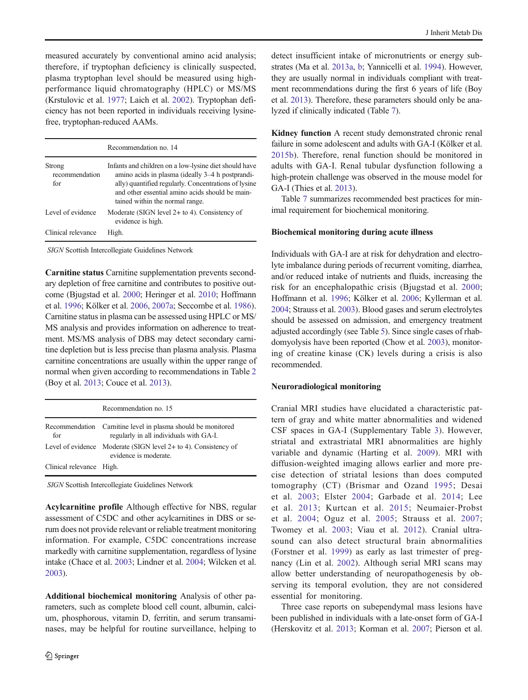measured accurately by conventional amino acid analysis; therefore, if tryptophan deficiency is clinically suspected, plasma tryptophan level should be measured using highperformance liquid chromatography (HPLC) or MS/MS (Krstulovic et al. [1977](#page-24-0); Laich et al. [2002\)](#page-24-0). Tryptophan deficiency has not been reported in individuals receiving lysinefree, tryptophan-reduced AAMs.

|                                 | Recommendation no. 14                                                                                                                                                                                                                                   |
|---------------------------------|---------------------------------------------------------------------------------------------------------------------------------------------------------------------------------------------------------------------------------------------------------|
| Strong<br>recommendation<br>for | Infants and children on a low-lysine diet should have<br>amino acids in plasma (ideally 3-4 h postprandi-<br>ally) quantified regularly. Concentrations of lysine<br>and other essential amino acids should be main-<br>tained within the normal range. |
| Level of evidence               | Moderate (SIGN level 2+ to 4). Consistency of<br>evidence is high.                                                                                                                                                                                      |
| Clinical relevance              | High.                                                                                                                                                                                                                                                   |

SIGN Scottish Intercollegiate Guidelines Network

Carnitine status Carnitine supplementation prevents secondary depletion of free carnitine and contributes to positive outcome (Bjugstad et al. [2000](#page-22-0); Heringer et al. [2010](#page-23-0); Hoffmann et al. [1996;](#page-24-0) Kölker et al. [2006,](#page-24-0) [2007a](#page-24-0); Seccombe et al. [1986\)](#page-25-0). Carnitine status in plasma can be assessed using HPLC or MS/ MS analysis and provides information on adherence to treatment. MS/MS analysis of DBS may detect secondary carnitine depletion but is less precise than plasma analysis. Plasma carnitine concentrations are usually within the upper range of normal when given according to recommendations in Table [2](#page-10-0) (Boy et al. [2013](#page-22-0); Couce et al. [2013](#page-23-0)).

|                          | Recommendation no. 15                                                                                   |
|--------------------------|---------------------------------------------------------------------------------------------------------|
| for                      | Recommendation Carnitine level in plasma should be monitored<br>regularly in all individuals with GA-I. |
|                          | Level of evidence Moderate (SIGN level 2+ to 4). Consistency of<br>evidence is moderate.                |
| Clinical relevance High. |                                                                                                         |

SIGN Scottish Intercollegiate Guidelines Network

Acylcarnitine profile Although effective for NBS, regular assessment of C5DC and other acylcarnitines in DBS or serum does not provide relevant or reliable treatment monitoring information. For example, C5DC concentrations increase markedly with carnitine supplementation, regardless of lysine intake (Chace et al. [2003;](#page-22-0) Lindner et al. [2004](#page-24-0); Wilcken et al. [2003\)](#page-26-0).

Additional biochemical monitoring Analysis of other parameters, such as complete blood cell count, albumin, calcium, phosphorous, vitamin D, ferritin, and serum transaminases, may be helpful for routine surveillance, helping to

detect insufficient intake of micronutrients or energy substrates (Ma et al. [2013a](#page-24-0), [b;](#page-24-0) Yannicelli et al. [1994\)](#page-26-0). However, they are usually normal in individuals compliant with treatment recommendations during the first 6 years of life (Boy et al. [2013\)](#page-22-0). Therefore, these parameters should only be analyzed if clinically indicated (Table [7\)](#page-20-0).

Kidney function A recent study demonstrated chronic renal failure in some adolescent and adults with GA-I (Kölker et al. [2015b](#page-24-0)). Therefore, renal function should be monitored in adults with GA-I. Renal tubular dysfunction following a high-protein challenge was observed in the mouse model for GA-I (Thies et al. [2013\)](#page-25-0).

Table [7](#page-20-0) summarizes recommended best practices for minimal requirement for biochemical monitoring.

### Biochemical monitoring during acute illness

Individuals with GA-I are at risk for dehydration and electrolyte imbalance during periods of recurrent vomiting, diarrhea, and/or reduced intake of nutrients and fluids, increasing the risk for an encephalopathic crisis (Bjugstad et al. [2000;](#page-22-0) Hoffmann et al. [1996;](#page-24-0) Kölker et al. [2006;](#page-24-0) Kyllerman et al. [2004;](#page-24-0) Strauss et al. [2003\)](#page-25-0). Blood gases and serum electrolytes should be assessed on admission, and emergency treatment adjusted accordingly (see Table [5](#page-15-0)). Since single cases of rhabdomyolysis have been reported (Chow et al. [2003](#page-22-0)), monitoring of creatine kinase (CK) levels during a crisis is also recommended.

#### Neuroradiological monitoring

Cranial MRI studies have elucidated a characteristic pattern of gray and white matter abnormalities and widened CSF spaces in GA-I (Supplementary Table 3). However, striatal and extrastriatal MRI abnormalities are highly variable and dynamic (Harting et al. [2009\)](#page-23-0). MRI with diffusion-weighted imaging allows earlier and more precise detection of striatal lesions than does computed tomography (CT) (Brismar and Ozand [1995](#page-22-0); Desai et al. [2003](#page-23-0); Elster [2004](#page-23-0); Garbade et al. [2014;](#page-23-0) Lee et al. [2013;](#page-24-0) Kurtcan et al. [2015](#page-24-0); Neumaier-Probst et al. [2004](#page-25-0); Oguz et al. [2005](#page-25-0); Strauss et al. [2007;](#page-25-0) Twomey et al. [2003](#page-26-0); Viau et al. [2012](#page-26-0)). Cranial ultrasound can also detect structural brain abnormalities (Forstner et al. [1999\)](#page-23-0) as early as last trimester of pregnancy (Lin et al. [2002\)](#page-24-0). Although serial MRI scans may allow better understanding of neuropathogenesis by observing its temporal evolution, they are not considered essential for monitoring.

Three case reports on subependymal mass lesions have been published in individuals with a late-onset form of GA-I (Herskovitz et al. [2013](#page-24-0); Korman et al. [2007;](#page-24-0) Pierson et al.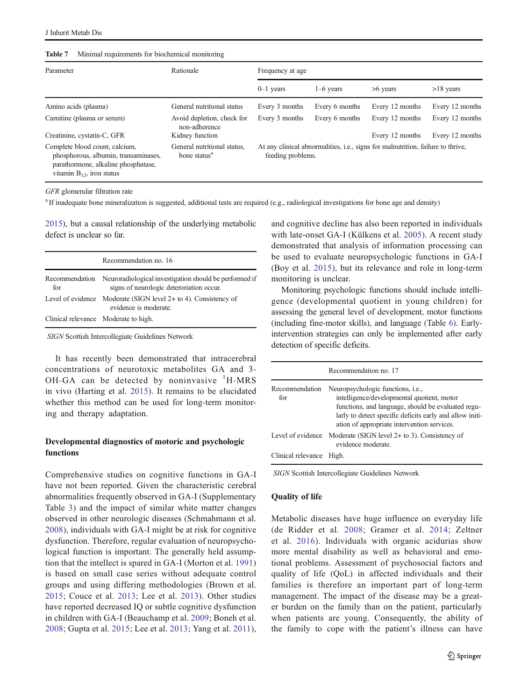#### <span id="page-20-0"></span>Table 7 Minimal requirements for biochemical monitoring

| Parameter                                                                                                                                       | Rationale                                               | Frequency at age                                                                                             |                |                 |                 |
|-------------------------------------------------------------------------------------------------------------------------------------------------|---------------------------------------------------------|--------------------------------------------------------------------------------------------------------------|----------------|-----------------|-----------------|
|                                                                                                                                                 |                                                         | $0-1$ years                                                                                                  | $1-6$ years    | $>6$ years      | $>18$ years     |
| Amino acids (plasma)                                                                                                                            | General nutritional status                              | Every 3 months                                                                                               | Every 6 months | Every 12 months | Every 12 months |
| Carnitine (plasma or serum)                                                                                                                     | Avoid depletion, check for<br>non-adherence             | Every 3 months                                                                                               | Every 6 months | Every 12 months | Every 12 months |
| Creatinine, cystatin-C, GFR                                                                                                                     | Kidney function                                         |                                                                                                              |                | Every 12 months | Every 12 months |
| Complete blood count, calcium,<br>phosphorous, albumin, transaminases,<br>parathormone, alkaline phosphatase,<br>vitamin $B_{12}$ , iron status | General nutritional status,<br>bone status <sup>a</sup> | At any clinical abnormalities, <i>i.e.</i> , signs for malnutrition, failure to thrive,<br>feeding problems. |                |                 |                 |

GFR glomerular filtration rate

<sup>a</sup> If inadequate bone mineralization is suggested, additional tests are required (e.g., radiological investigations for bone age and density)

[2015\)](#page-25-0), but a causal relationship of the underlying metabolic defect is unclear so far.

|                                      | Recommendation no. 16                                                                                             |
|--------------------------------------|-------------------------------------------------------------------------------------------------------------------|
| for                                  | Recommendation Neuroradiological investigation should be performed if<br>signs of neurologic deteroriation occur. |
|                                      | Level of evidence Moderate (SIGN level 2+ to 4). Consistency of<br>evidence is moderate.                          |
| Clinical relevance Moderate to high. |                                                                                                                   |

SIGN Scottish Intercollegiate Guidelines Network

It has recently been demonstrated that intracerebral concentrations of neurotoxic metabolites GA and 3- OH-GA can be detected by noninvasive  ${}^{1}$ H-MRS in vivo (Harting et al. [2015](#page-23-0)). It remains to be elucidated whether this method can be used for long-term monitoring and therapy adaptation.

# Developmental diagnostics of motoric and psychologic functions

Comprehensive studies on cognitive functions in GA-I have not been reported. Given the characteristic cerebral abnormalities frequently observed in GA-I (Supplementary Table 3) and the impact of similar white matter changes observed in other neurologic diseases (Schmahmann et al. [2008](#page-25-0)), individuals with GA-I might be at risk for cognitive dysfunction. Therefore, regular evaluation of neuropsychological function is important. The generally held assumption that the intellect is spared in GA-I (Morton et al. [1991\)](#page-25-0) is based on small case series without adequate control groups and using differing methodologies (Brown et al. [2015](#page-22-0); Couce et al. [2013](#page-23-0); Lee et al. [2013](#page-24-0)). Other studies have reported decreased IQ or subtle cognitive dysfunction in children with GA-I (Beauchamp et al. [2009;](#page-22-0) Boneh et al. [2008](#page-22-0); Gupta et al. [2015;](#page-23-0) Lee et al. [2013](#page-24-0); Yang et al. [2011](#page-26-0)), and cognitive decline has also been reported in individuals with late-onset GA-I (Külkens et al. [2005](#page-24-0)). A recent study demonstrated that analysis of information processing can be used to evaluate neuropsychologic functions in GA-I (Boy et al. [2015\)](#page-22-0), but its relevance and role in long-term monitoring is unclear.

Monitoring psychologic functions should include intelligence (developmental quotient in young children) for assessing the general level of development, motor functions (including fine-motor skills), and language (Table [6](#page-18-0)). Earlyintervention strategies can only be implemented after early detection of specific deficits.

|                       | Recommendation no. 17                                                                                                                                                                                                                                    |
|-----------------------|----------------------------------------------------------------------------------------------------------------------------------------------------------------------------------------------------------------------------------------------------------|
| Recommendation<br>for | Neuropsychologic functions, <i>i.e.</i> ,<br>intelligence/developmental quotient, motor<br>functions, and language, should be evaluated regu-<br>larly to detect specific deficits early and allow initi-<br>ation of appropriate intervention services. |
|                       | Level of evidence Moderate (SIGN level 2+ to 3). Consistency of<br>evidence moderate.                                                                                                                                                                    |
| Clinical relevance    | High.                                                                                                                                                                                                                                                    |

SIGN Scottish Intercollegiate Guidelines Network

# Quality of life

Metabolic diseases have huge influence on everyday life (de Ridder et al. [2008;](#page-23-0) Gramer et al. [2014;](#page-23-0) Zeltner et al. [2016\)](#page-26-0). Individuals with organic acidurias show more mental disability as well as behavioral and emotional problems. Assessment of psychosocial factors and quality of life (QoL) in affected individuals and their families is therefore an important part of long-term management. The impact of the disease may be a greater burden on the family than on the patient, particularly when patients are young. Consequently, the ability of the family to cope with the patient's illness can have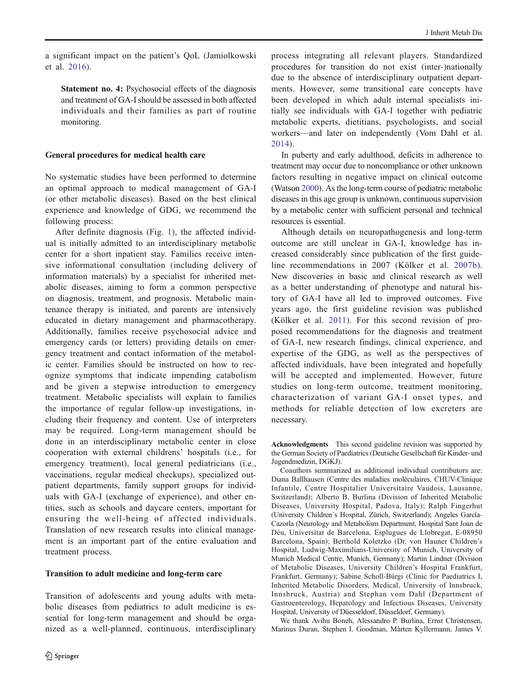a significant impact on the patient's QoL (Jamiolkowski et al. [2016\)](#page-24-0).

Statement no. 4: Psychosocial effects of the diagnosis and treatment of GA-I should be assessed in both affected individuals and their families as part of routine monitoring.

# General procedures for medical health care

No systematic studies have been performed to determine an optimal approach to medical management of GA-I (or other metabolic diseases). Based on the best clinical experience and knowledge of GDG, we recommend the following process:

After definite diagnosis (Fig. [1\)](#page-7-0), the affected individual is initially admitted to an interdisciplinary metabolic center for a short inpatient stay. Families receive intensive informational consultation (including delivery of information materials) by a specialist for inherited metabolic diseases, aiming to form a common perspective on diagnosis, treatment, and prognosis. Metabolic maintenance therapy is initiated, and parents are intensively educated in dietary management and pharmacotherapy. Additionally, families receive psychosocial advice and emergency cards (or letters) providing details on emergency treatment and contact information of the metabolic center. Families should be instructed on how to recognize symptoms that indicate impending catabolism and be given a stepwise introduction to emergency treatment. Metabolic specialists will explain to families the importance of regular follow-up investigations, including their frequency and content. Use of interpreters may be required. Long-term management should be done in an interdisciplinary metabolic center in close cooperation with external childrens' hospitals (i.e., for emergency treatment), local general pediatricians (i.e., vaccinations, regular medical checkups), specialized outpatient departments, family support groups for individuals with GA-I (exchange of experience), and other entities, such as schools and daycare centers, important for ensuring the well-being of affected individuals. Translation of new research results into clinical management is an important part of the entire evaluation and treatment process.

### Transition to adult medicine and long-term care

Transition of adolescents and young adults with metabolic diseases from pediatrics to adult medicine is essential for long-term management and should be organized as a well-planned, continuous, interdisciplinary process integrating all relevant players. Standardized procedures for transition do not exist (inter-)nationally due to the absence of interdisciplinary outpatient departments. However, some transitional care concepts have been developed in which adult internal specialists initially see individuals with GA-I together with pediatric metabolic experts, dietitians, psychologists, and social workers—and later on independently (Vom Dahl et al. [2014](#page-26-0)).

In puberty and early adulthood, deficits in adherence to treatment may occur due to noncompliance or other unknown factors resulting in negative impact on clinical outcome (Watson [2000\)](#page-26-0). As the long-term course of pediatric metabolic diseases in this age group is unknown, continuous supervision by a metabolic center with sufficient personal and technical resources is essential.

Although details on neuropathogenesis and long-term outcome are still unclear in GA-I, knowledge has increased considerably since publication of the first guideline recommendations in 2007 (Kölker et al. [2007b](#page-24-0)). New discoveries in basic and clinical research as well as a better understanding of phenotype and natural history of GA-I have all led to improved outcomes. Five years ago, the first guideline revision was published (Kölker et al. [2011](#page-24-0)). For this second revision of proposed recommendations for the diagnosis and treatment of GA-I, new research findings, clinical experience, and expertise of the GDG, as well as the perspectives of affected individuals, have been integrated and hopefully will be accepted and implemented. However, future studies on long-term outcome, treatment monitoring, characterization of variant GA-I onset types, and methods for reliable detection of low excreters are necessary.

Acknowledgments This second guideline revision was supported by the German Society of Paediatrics (Deutsche Gesellschaft für Kinder- und Jugendmedizin, DGKJ).

Coauthors summarized as additional individual contributors are: Diana Ballhausen (Centre des maladies moléculaires, CHUV-Clinique Infantile, Centre Hospitalier Universitaire Vaudois, Lausanne, Switzerland); Alberto B. Burlina (Division of Inherited Metabolic Diseases, University Hospital, Padova, Italy); Ralph Fingerhut (University Children`s Hospital, Zürich, Switzerland); Angeles García-Cazorla (Neurology and Metabolism Department, Hospital Sant Joan de Déu, Universitat de Barcelona, Esplugues de Llobregat, E-08950 Barcelona, Spain); Berthold Koletzko (Dr. von Hauner Children's Hospital, Ludwig-Maximilians-University of Munich, University of Munich Medical Centre, Munich, Germany); Martin Lindner (Division of Metabolic Diseases, University Children's Hospital Frankfurt, Frankfurt, Germany); Sabine Scholl-Bürgi (Clinic for Paediatrics I, Inherited Metabolic Disorders, Medical, University of Innsbruck, Innsbruck, Austria) and Stephan vom Dahl (Department of Gastroenterology, Hepatology and Infectious Diseases, University Hospital, University of Düesseldorf, Düsseldorf, Germany).

We thank Avihu Boneh, Alessandro P. Burlina, Ernst Christensen, Marinus Duran, Stephen I. Goodman, Mårten Kyllermann, James V.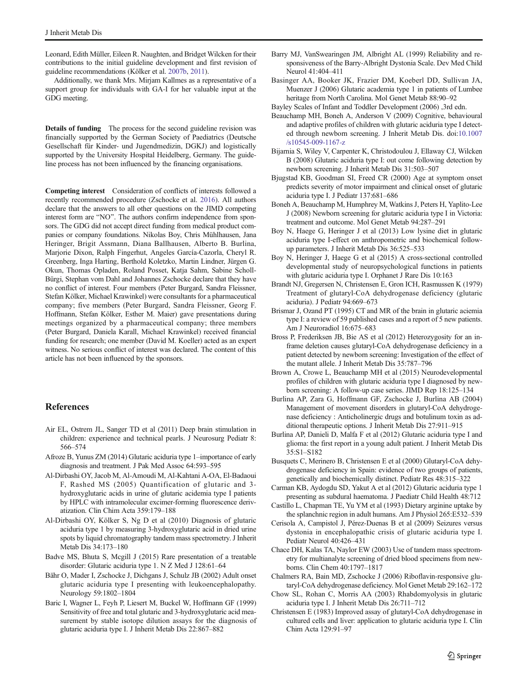<span id="page-22-0"></span>Leonard, Edith Müller, Eileen R. Naughten, and Bridget Wilcken for their contributions to the initial guideline development and first revision of guideline recommendations (Kölker et al. [2007b,](#page-24-0) [2011](#page-24-0)).

Additionally, we thank Mrs. Mirjam Kallmes as a representative of a support group for individuals with GA-I for her valuable input at the GDG meeting.

Details of funding The process for the second guideline revision was financially supported by the German Society of Paediatrics (Deutsche Gesellschaft für Kinder- und Jugendmedizin, DGKJ) and logistically supported by the University Hospital Heidelberg, Germany. The guideline process has not been influenced by the financing organisations.

Competing interest Consideration of conflicts of interests followed a recently recommended procedure (Zschocke et al. [2016\)](#page-26-0). All authors declare that the answers to all other questions on the JIMD competing interest form are "NO". The authors confirm independence from sponsors. The GDG did not accept direct funding from medical product companies or company foundations. Nikolas Boy, Chris Mühlhausen, Jana Heringer, Brigit Assmann, Diana Ballhausen, Alberto B. Burlina, Marjorie Dixon, Ralph Fingerhut, Angeles García-Cazorla, Cheryl R. Greenberg, Inga Harting, Berthold Koletzko, Martin Lindner, Jürgen G. Okun, Thomas Opladen, Roland Posset, Katja Sahm, Sabine Scholl-Bürgi, Stephan vom Dahl and Johannes Zschocke declare that they have no conflict of interest. Four members (Peter Burgard, Sandra Fleissner, Stefan Kölker, Michael Krawinkel) were consultants for a pharmaceutical company; five members (Peter Burgard, Sandra Fleissner, Georg F. Hoffmann, Stefan Kölker, Esther M. Maier) gave presentations during meetings organized by a pharmaceutical company; three members (Peter Burgard, Daniela Karall, Michael Krawinkel) received financial funding for research; one member (David M. Koeller) acted as an expert witness. No serious conflict of interest was declared. The content of this article has not been influenced by the sponsors.

### References

- Air EL, Ostrem JL, Sanger TD et al (2011) Deep brain stimulation in children: experience and technical pearls. J Neurosurg Pediatr 8: 566–574
- Afroze B, Yunus ZM (2014) Glutaric aciduria type 1–importance of early diagnosis and treatment. J Pak Med Assoc 64:593–595
- Al-Dirbashi OY, Jacob M, Al-Amoudi M, Al-Kahtani A-OA, El-Badaoui F, Rashed MS (2005) Quantification of glutaric and 3 hydroxyglutaric acids in urine of glutaric acidemia type I patients by HPLC with intramolecular excimer-forming fluorescence derivatization. Clin Chim Acta 359:179–188
- Al-Dirbashi OY, Kölker S, Ng D et al (2010) Diagnosis of glutaric aciduria type 1 by measuring 3-hydroxyglutaric acid in dried urine spots by liquid chromatography tandem mass spectrometry. J Inherit Metab Dis 34:173–180
- Badve MS, Bhuta S, Mcgill J (2015) Rare presentation of a treatable disorder: Glutaric aciduria type 1. N Z Med J 128:61–64
- Bähr O, Mader I, Zschocke J, Dichgans J, Schulz JB (2002) Adult onset glutaric aciduria type I presenting with leukoencephalopathy. Neurology 59:1802–1804
- Baric I, Wagner L, Feyh P, Liesert M, Buckel W, Hoffmann GF (1999) Sensitivity of free and total glutaric and 3-hydroxyglutaric acid measurement by stable isotope dilution assays for the diagnosis of glutaric aciduria type I. J Inherit Metab Dis 22:867–882
- Barry MJ, VanSwearingen JM, Albright AL (1999) Reliability and responsiveness of the Barry-Albright Dystonia Scale. Dev Med Child Neurol 41:404–411
- Basinger AA, Booker JK, Frazier DM, Koeberl DD, Sullivan JA, Muenzer J (2006) Glutaric academia type 1 in patients of Lumbee heritage from North Carolina. Mol Genet Metab 88:90–92
- Bayley Scales of Infant and Toddler Development (2006) ,3rd edn.
- Beauchamp MH, Boneh A, Anderson V (2009) Cognitive, behavioural and adaptive profiles of children with glutaric aciduria type I detected through newborn screening. J Inherit Metab Dis. doi[:10.1007](http://dx.doi.org/10.1007/s10545-009-1167-z) [/s10545-009-1167-z](http://dx.doi.org/10.1007/s10545-009-1167-z)
- Bijarnia S, Wiley V, Carpenter K, Christodoulou J, Ellaway CJ, Wilcken B (2008) Glutaric aciduria type I: out come following detection by newborn screening. J Inherit Metab Dis 31:503–507
- Bjugstad KB, Goodman SI, Freed CR (2000) Age at symptom onset predicts severity of motor impairment and clinical onset of glutaric aciduria type I. J Pediatr 137:681–686
- Boneh A, Beauchamp M, Humphrey M, Watkins J, Peters H, Yaplito-Lee J (2008) Newborn screening for glutaric aciduria type I in Victoria: treatment and outcome. Mol Genet Metab 94:287–291
- Boy N, Haege G, Heringer J et al (2013) Low lysine diet in glutaric aciduria type I-effect on anthropometric and biochemical followup parameters. J Inherit Metab Dis 36:525–533
- Boy N, Heringer J, Haege G et al (2015) A cross-sectional controlled developmental study of neuropsychological functions in patients with glutaric aciduria type I. Orphanet J Rare Dis 10:163
- Brandt NJ, Gregersen N, Christensen E, Gron ICH, Rasmussen K (1979) Treatment of glutaryl-CoA dehydrogenase deficiency (glutaric aciduria). J Pediatr 94:669–673
- Brismar J, Ozand PT (1995) CT and MR of the brain in glutaric aciemia type I: a review of 59 published cases and a report of 5 new patients. Am J Neuroradiol 16:675–683
- Bross P, Frederiksen JB, Bie AS et al (2012) Heterozygosity for an inframe deletion causes glutaryl-CoA dehydrogenase deficiency in a patient detected by newborn screening: Investigation of the effect of the mutant allele. J Inherit Metab Dis 35:787–796
- Brown A, Crowe L, Beauchamp MH et al (2015) Neurodevelopmental profiles of children with glutaric aciduria type I diagnosed by newborn screening: A follow-up case series. JIMD Rep 18:125–134
- Burlina AP, Zara G, Hoffmann GF, Zschocke J, Burlina AB (2004) Management of movement disorders in glutaryl-CoA dehydrogenase deficiency : Anticholinergic drugs and botulinum toxin as additional therapeutic options. J Inherit Metab Dis 27:911–915
- Burlina AP, Danieli D, Malfa F et al (2012) Glutaric aciduria type I and glioma: the first report in a young adult patient. J Inherit Metab Dis 35:S1–S182
- Busquets C, Merinero B, Christensen E et al (2000) Glutaryl-CoA dehydrogenase deficiency in Spain: evidence of two groups of patients, genetically and biochemically distinct. Pediatr Res 48:315–322
- Carman KB, Aydogdu SD, Yakut A et al (2012) Glutaric aciduria type 1 presenting as subdural haematoma. J Paediatr Child Health 48:712
- Castillo L, Chapman TE, Yu YM et al (1993) Dietary arginine uptake by the splanchnic region in adult humans. Am J Physiol 265:E532–539
- Cerisola A, Campistol J, Pérez-Duenas B et al (2009) Seizures versus dystonia in encephalopathic crisis of glutaric aciduria type I. Pediatr Neurol 40:426–431
- Chace DH, Kalas TA, Naylor EW (2003) Use of tandem mass spectrometry for multianalyte screening of dried blood specimens from newborns. Clin Chem 40:1797–1817
- Chalmers RA, Bain MD, Zschocke J (2006) Riboflavin-responsive glutaryl-CoA dehydrogenase deficiency. Mol Genet Metab 29:162–172
- Chow SL, Rohan C, Morris AA (2003) Rhabdomyolysis in glutaric aciduria type I. J Inherit Metab Dis 26:711–712
- Christensen E (1983) Improved assay of glutaryl-CoA dehydrogenase in cultured cells and liver: application to glutaric aciduria type I. Clin Chim Acta 129:91–97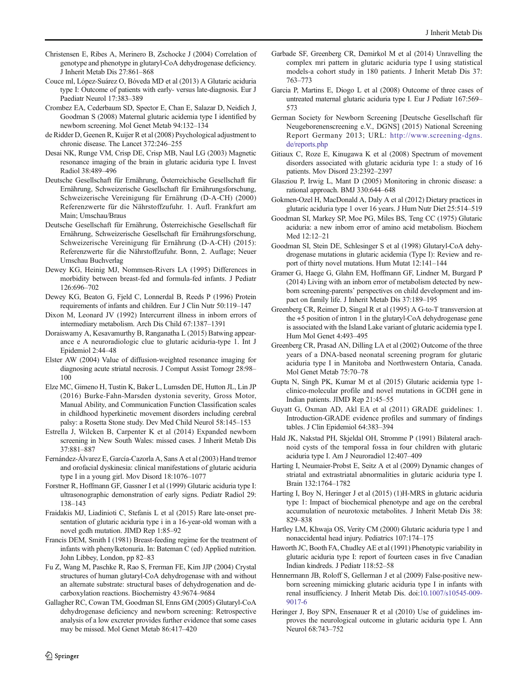- <span id="page-23-0"></span>Christensen E, Ribes A, Merinero B, Zschocke J (2004) Correlation of genotype and phenotype in glutaryl-CoA dehydrogenase deficiency. J Inherit Metab Dis 27:861–868
- Couce ml, López-Suárez O, Bóveda MD et al (2013) A Glutaric aciduria type I: Outcome of patients with early- versus late-diagnosis. Eur J Paediatr Neurol 17:383–389
- Crombez EA, Cederbaum SD, Spector E, Chan E, Salazar D, Neidich J, Goodman S (2008) Maternal glutaric acidemia type I identified by newborn screening. Mol Genet Metab 94:132–134
- de Ridder D, Geenen R, Kuijer R et al (2008) Psychological adjustment to chronic disease. The Lancet 372:246–255
- Desai NK, Runge VM, Crisp DE, Crisp MB, Naul LG (2003) Magnetic resonance imaging of the brain in glutaric aciduria type I. Invest Radiol 38:489–496
- Deutsche Gesellschaft für Ernährung, Österreichische Gesellschaft für Ernährung, Schweizerische Gesellschaft für Ernährungsforschung, Schweizerische Vereinigung für Ernährung (D-A-CH) (2000) Referenzwerte für die Nährstoffzufuhr. 1. Aufl. Frankfurt am Main; Umschau/Braus
- Deutsche Gesellschaft für Ernährung, Österreichische Gesellschaft für Ernährung, Schweizerische Gesellschaft für Ernährungsforschung, Schweizerische Vereinigung für Ernährung (D-A-CH) (2015): Referenzwerte für die Nährstoffzufuhr. Bonn, 2. Auflage; Neuer Umschau Buchverlag
- Dewey KG, Heinig MJ, Nommsen-Rivers LA (1995) Differences in morbidity between breast-fed and formula-fed infants. J Pediatr 126:696–702
- Dewey KG, Beaton G, Fjeld C, Lonnerdal B, Reeds P (1996) Protein requirements of infants and children. Eur J Clin Nutr 50:119–147
- Dixon M, Leonard JV (1992) Intercurrent illness in inborn errors of intermediary metabolism. Arch Dis Child 67:1387–1391
- Doraiswamy A, Kesavamurthy B, Ranganatha L (2015) Batwing appearance e A neuroradiologic clue to glutaric aciduria-type 1. Int J Epidemiol 2:44–48
- Elster AW (2004) Value of diffusion-weighted resonance imaging for diagnosing acute striatal necrosis. J Comput Assist Tomogr 28:98– 100
- Elze MC, Gimeno H, Tustin K, Baker L, Lumsden DE, Hutton JL, Lin JP (2016) Burke-Fahn-Marsden dystonia severity, Gross Motor, Manual Ability, and Communication Function Classification scales in childhood hyperkinetic movement disorders including cerebral palsy: a Rosetta Stone study. Dev Med Child Neurol 58:145–153
- Estrella J, Wilcken B, Carpenter K et al (2014) Expanded newborn screening in New South Wales: missed cases. J Inherit Metab Dis 37:881–887
- Fernández-Álvarez E, García-Cazorla A, Sans A et al (2003) Hand tremor and orofacial dyskinesia: clinical manifestations of glutaric aciduria type I in a young girl. Mov Disord 18:1076–1077
- Forstner R, Hoffmann GF, Gassner I et al (1999) Glutaric aciduria type I: ultrasonographic demonstration of early signs. Pediatr Radiol 29: 138–143
- Fraidakis MJ, Liadinioti C, Stefanis L et al (2015) Rare late-onset presentation of glutaric aciduria type i in a 16-year-old woman with a novel gcdh mutation. JIMD Rep 1:85–92
- Francis DEM, Smith I (1981) Breast-feeding regime for the treatment of infants with phenylketonuria. In: Bateman C (ed) Applied nutrition. John Libbey, London, pp 82–83
- Fu Z, Wang M, Paschke R, Rao S, Frerman FE, Kim JJP (2004) Crystal structures of human glutaryl-CoA dehydrogenase with and without an alternate substrate: structural bases of dehydrogenation and decarboxylation reactions. Biochemistry 43:9674–9684
- Gallagher RC, Cowan TM, Goodman SI, Enns GM (2005) Glutaryl-CoA dehydrogenase deficiency and newborn screening: Retrospective analysis of a low excreter provides further evidence that some cases may be missed. Mol Genet Metab 86:417–420
- Garbade SF, Greenberg CR, Demirkol M et al (2014) Unravelling the complex mri pattern in glutaric aciduria type I using statistical models-a cohort study in 180 patients. J Inherit Metab Dis 37: 763–773
- Garcia P, Martins E, Diogo L et al (2008) Outcome of three cases of untreated maternal glutaric aciduria type I. Eur J Pediatr 167:569– 573
- German Society for Newborn Screening [Deutsche Gesellschaft für Neugeborenenscreening e.V., DGNS] (2015) National Screening Report Germany 2013; URL: [http://www.screening-dgns.](http://dx.doi.org/http://www.screening-dgns.de/reports.php) [de/reports.php](http://dx.doi.org/http://www.screening-dgns.de/reports.php)
- Gitiaux C, Roze E, Kinugawa K et al (2008) Spectrum of movement disorders associated with glutaric aciduria type 1: a study of 16 patients. Mov Disord 23:2392–2397
- Glasziou P, Irwig L, Mant D (2005) Monitoring in chronic disease: a rational approach. BMJ 330:644–648
- Gokmen-Ozel H, MacDonald A, Daly A et al (2012) Dietary practices in glutaric aciduria type 1 over 16 years. J Hum Nutr Diet 25:514–519
- Goodman SI, Markey SP, Moe PG, Miles BS, Teng CC (1975) Glutaric aciduria: a new inborn error of amino acid metabolism. Biochem Med 12:12–21
- Goodman SI, Stein DE, Schlesinger S et al (1998) Glutaryl-CoA dehydrogenase mutations in glutaric acidemia (Type I): Review and report of thirty novel mutations. Hum Mutat 12:141–144
- Gramer G, Haege G, Glahn EM, Hoffmann GF, Lindner M, Burgard P (2014) Living with an inborn error of metabolism detected by newborn screening-parents' perspectives on child development and impact on family life. J Inherit Metab Dis 37:189–195
- Greenberg CR, Reimer D, Singal R et al (1995) A G-to-T transversion at the +5 position of intron 1 in the glutaryl-CoA dehydrogenase gene is associated with the Island Lake variant of glutaric acidemia type I. Hum Mol Genet 4:493–495
- Greenberg CR, Prasad AN, Dilling LA et al (2002) Outcome of the three years of a DNA-based neonatal screening program for glutaric aciduria type I in Manitoba and Northwestern Ontaria, Canada. Mol Genet Metab 75:70–78
- Gupta N, Singh PK, Kumar M et al (2015) Glutaric acidemia type 1 clinico-molecular profile and novel mutations in GCDH gene in Indian patients. JIMD Rep 21:45–55
- Guyatt G, Oxman AD, Akl EA et al (2011) GRADE guidelines: 1. Introduction-GRADE evidence profiles and summary of findings tables. J Clin Epidemiol 64:383–394
- Hald JK, Nakstad PH, Skjeldal OH, Stromme P (1991) Bilateral arachnoid cysts of the temporal fossa in four children with glutaric aciduria type I. Am J Neuroradiol 12:407–409
- Harting I, Neumaier-Probst E, Seitz A et al (2009) Dynamic changes of striatal and extrastriatal abnormalities in glutaric aciduria type I. Brain 132:1764–1782
- Harting I, Boy N, Heringer J et al (2015) (1)H-MRS in glutaric aciduria type 1: Impact of biochemical phenotype and age on the cerebral accumulation of neurotoxic metabolites. J Inherit Metab Dis 38: 829–838
- Hartley LM, Khwaja OS, Verity CM (2000) Glutaric aciduria type 1 and nonaccidental head injury. Pediatrics 107:174–175
- Haworth JC, Booth FA, Chudley AE et al (1991) Phenotypic variability in glutaric aciduria type I: report of fourteen cases in five Canadian Indian kindreds. J Pediatr 118:52–58
- Hennermann JB, Roloff S, Gellerman J et al (2009) False-positive newborn screening mimicking glutaric aciduria type I in infants with renal insufficiency. J Inherit Metab Dis. doi:[10.1007/s10545-009-](http://dx.doi.org/10.1007/s10545-009-9017-6) [9017-6](http://dx.doi.org/10.1007/s10545-009-9017-6)
- Heringer J, Boy SPN, Ensenauer R et al (2010) Use of guidelines improves the neurological outcome in glutaric aciduria type I. Ann Neurol 68:743–752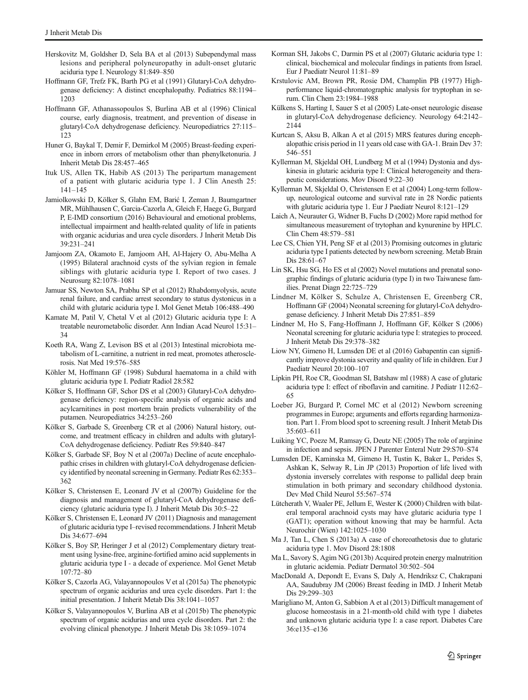- <span id="page-24-0"></span>Herskovitz M, Goldsher D, Sela BA et al (2013) Subependymal mass lesions and peripheral polyneuropathy in adult-onset glutaric aciduria type I. Neurology 81:849–850
- Hoffmann GF, Trefz FK, Barth PG et al (1991) Glutaryl-CoA dehydrogenase deficiency: A distinct encephalopathy. Pediatrics 88:1194– 1203
- Hoffmann GF, Athanassopoulos S, Burlina AB et al (1996) Clinical course, early diagnosis, treatment, and prevention of disease in glutaryl-CoA dehydrogenase deficiency. Neuropediatrics 27:115– 123
- Huner G, Baykal T, Demir F, Demirkol M (2005) Breast-feeding experience in inborn errors of metabolism other than phenylketonuria. J Inherit Metab Dis 28:457–465
- Ituk US, Allen TK, Habib AS (2013) The peripartum management of a patient with glutaric aciduria type 1. J Clin Anesth 25: 141–145
- Jamiolkowski D, Kölker S, Glahn EM, Barić I, Zeman J, Baumgartner MR, Mühlhausen C, Garcia-Cazorla A, Gleich F, Haege G, Burgard P, E-IMD consortium (2016) Behavioural and emotional problems, intellectual impairment and health-related quality of life in patients with organic acidurias and urea cycle disorders. J Inherit Metab Dis 39:231–241
- Jamjoom ZA, Okamoto E, Jamjoom AH, Al-Hajery O, Abu-Melha A (1995) Bilateral arachnoid cysts of the sylvian region in female siblings with glutaric aciduria type I. Report of two cases. J Neurosurg 82:1078–1081
- Jamuar SS, Newton SA, Prabhu SP et al (2012) Rhabdomyolysis, acute renal failure, and cardiac arrest secondary to status dystonicus in a child with glutaric aciduria type I. Mol Genet Metab 106:488–490
- Kamate M, Patil V, Chetal V et al (2012) Glutaric aciduria type I: A treatable neurometabolic disorder. Ann Indian Acad Neurol 15:31– 34
- Koeth RA, Wang Z, Levison BS et al (2013) Intestinal microbiota metabolism of L-carnitine, a nutrient in red meat, promotes atherosclerosis. Nat Med 19:576–585
- Köhler M, Hoffmann GF (1998) Subdural haematoma in a child with glutaric aciduria type I. Pediatr Radiol 28:582
- Kölker S, Hoffmann GF, Schor DS et al (2003) Glutaryl-CoA dehydrogenase deficiency: region-specific analysis of organic acids and acylcarnitines in post mortem brain predicts vulnerability of the putamen. Neuropediatrics 34:253–260
- Kölker S, Garbade S, Greenberg CR et al (2006) Natural history, outcome, and treatment efficacy in children and adults with glutaryl-CoA dehydrogenase deficiency. Pediatr Res 59:840–847
- Kölker S, Garbade SF, Boy N et al (2007a) Decline of acute encephalopathic crises in children with glutaryl-CoA dehydrogenase deficiency identified by neonatal screening in Germany. Pediatr Res 62:353– 362
- Kölker S, Christensen E, Leonard JV et al (2007b) Guideline for the diagnosis and management of glutaryl-CoA dehydrogenase deficiency (glutaric aciduria type I). J Inherit Metab Dis 30:5–22
- Kölker S, Christensen E, Leonard JV (2011) Diagnosis and management of glutaric aciduria type I–revised recommendations. J Inherit Metab Dis 34:677–694
- Kölker S, Boy SP, Heringer J et al (2012) Complementary dietary treatment using lysine-free, arginine-fortified amino acid supplements in glutaric aciduria type I - a decade of experience. Mol Genet Metab  $107 - 72 - 80$
- Kölker S, Cazorla AG, Valayannopoulos V et al (2015a) The phenotypic spectrum of organic acidurias and urea cycle disorders. Part 1: the initial presentation. J Inherit Metab Dis 38:1041–1057
- Kölker S, Valayannopoulos V, Burlina AB et al (2015b) The phenotypic spectrum of organic acidurias and urea cycle disorders. Part 2: the evolving clinical phenotype. J Inherit Metab Dis 38:1059–1074
- Korman SH, Jakobs C, Darmin PS et al (2007) Glutaric aciduria type 1: clinical, biochemical and molecular findings in patients from Israel. Eur J Paediatr Neurol 11:81–89
- Krstulovic AM, Brown PR, Rosie DM, Champlin PB (1977) Highperformance liquid-chromatographic analysis for tryptophan in serum. Clin Chem 23:1984–1988
- Külkens S, Harting I, Sauer S et al (2005) Late-onset neurologic disease in glutaryl-CoA dehydrogenase deficiency. Neurology 64:2142– 2144
- Kurtcan S, Aksu B, Alkan A et al (2015) MRS features during encephalopathic crisis period in 11 years old case with GA-1. Brain Dev 37: 546–551
- Kyllerman M, Skjeldal OH, Lundberg M et al (1994) Dystonia and dyskinesia in glutaric aciduria type I: Clinical heterogeneity and therapeutic considerations. Mov Disord 9:22–30
- Kyllerman M, Skjeldal O, Christensen E et al (2004) Long-term followup, neurological outcome and survival rate in 28 Nordic patients with glutaric aciduria type 1. Eur J Paediatr Neurol 8:121–129
- Laich A, Neurauter G, Widner B, Fuchs D (2002) More rapid method for simultaneous measurement of trytophan and kynurenine by HPLC. Clin Chem 48:579–581
- Lee CS, Chien YH, Peng SF et al (2013) Promising outcomes in glutaric aciduria type I patients detected by newborn screening. Metab Brain Dis 28:61–67
- Lin SK, Hsu SG, Ho ES et al (2002) Novel mutations and prenatal sonographic findings of glutaric aciduria (type I) in two Taiwanese families. Prenat Diagn 22:725–729
- Lindner M, Kölker S, Schulze A, Christensen E, Greenberg CR, Hoffmann GF (2004) Neonatal screening for glutaryl-CoA dehydrogenase deficiency. J Inherit Metab Dis 27:851–859
- Lindner M, Ho S, Fang-Hoffmann J, Hoffmann GF, Kölker S (2006) Neonatal screening for glutaric aciduria type I: strategies to proceed. J Inherit Metab Dis 29:378–382
- Liow NY, Gimeno H, Lumsden DE et al (2016) Gabapentin can significantly improve dystonia severity and quality of life in children. Eur J Paediatr Neurol 20:100–107
- Lipkin PH, Roe CR, Goodman SI, Batshaw ml (1988) A case of glutaric aciduria type I: effect of riboflavin and carnitine. J Pediatr 112:62– 65
- Loeber JG, Burgard P, Cornel MC et al (2012) Newborn screening programmes in Europe; arguments and efforts regarding harmonization. Part 1. From blood spot to screening result. J Inherit Metab Dis 35:603–611
- Luiking YC, Poeze M, Ramsay G, Deutz NE (2005) The role of arginine in infection and sepsis. JPEN J Parenter Enteral Nutr 29:S70–S74
- Lumsden DE, Kaminska M, Gimeno H, Tustin K, Baker L, Perides S, Ashkan K, Selway R, Lin JP (2013) Proportion of life lived with dystonia inversely correlates with response to pallidal deep brain stimulation in both primary and secondary childhood dystonia. Dev Med Child Neurol 55:567–574
- Lütcherath V, Waaler PE, Jellum E, Wester K (2000) Children with bilateral temporal arachnoid cysts may have glutaric aciduria type 1 (GAT1); operation without knowing that may be harmful. Acta Neurochir (Wien) 142:1025–1030
- Ma J, Tan L, Chen S (2013a) A case of choreoathetosis due to glutaric aciduria type 1. Mov Disord 28:1808
- Ma L, Savory S, Agim NG (2013b) Acquired protein energy malnutrition in glutaric acidemia. Pediatr Dermatol 30:502–504
- MacDonald A, Depondt E, Evans S, Daly A, Hendriksz C, Chakrapani AA, Saudubray JM (2006) Breast feeding in IMD. J Inherit Metab Dis 29:299–303
- Marigliano M, Anton G, Sabbion A et al (2013) Difficult management of glucose homeostasis in a 21-month-old child with type 1 diabetes and unknown glutaric aciduria type I: a case report. Diabetes Care 36:e135–e136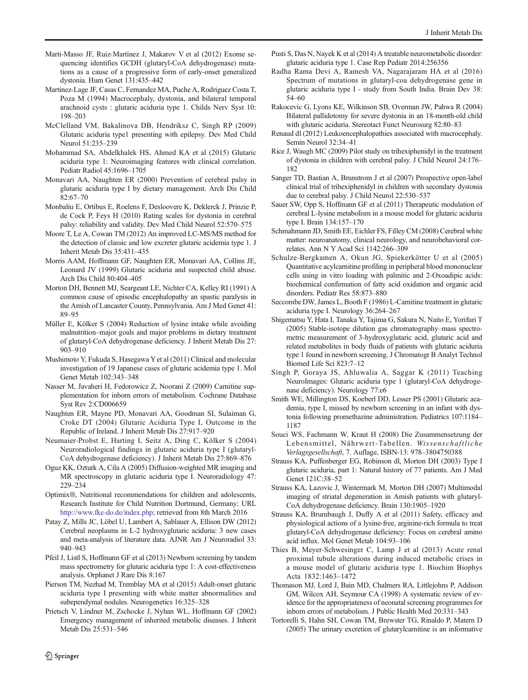- <span id="page-25-0"></span>Marti-Masso JF, Ruiz-Martínez J, Makarov V et al (2012) Exome sequencing identifies GCDH (glutaryl-CoA dehydrogenase) mutations as a cause of a progressive form of early-onset generalized dystonia. Hum Genet 131:435–442
- Martinez-Lage JF, Casas C, Fernandez MA, Puche A, Rodriguez Costa T, Poza M (1994) Macrocephaly, dystonia, and bilateral temporal arachnoid cysts : glutaric aciduria type 1. Childs Nerv Syst 10: 198–203
- McClelland VM, Bakalinova DB, Hendriksz C, Singh RP (2009) Glutaric aciduria type1 presenting with epilepsy. Dev Med Child Neurol 51:235–239
- Mohammad SA, Abdelkhalek HS, Ahmed KA et al (2015) Glutaric aciduria type 1: Neuroimaging features with clinical correlation. Pediatr Radiol 45:1696–1705
- Monavari AA, Naughten ER (2000) Prevention of cerebral palsy in glutaric aciduria type I by dietary management. Arch Dis Child 82:67–70
- Monbaliu E, Ortibus E, Roelens F, Desloovere K, Deklerck J, Prinzie P, de Cock P, Feys H (2010) Rating scales for dystonia in cerebral palsy: reliability and validity. Dev Med Child Neurol 52:570–575
- Moore T, Le A, Cowan TM (2012) An improved LC-MS/MS method for the detection of classic and low excreter glutaric acidemia type 1. J Inherit Metab Dis 35:431–435
- Morris AAM, Hoffmann GF, Naughten ER, Monavari AA, Collins JE, Leonard JV (1999) Glutaric aciduria and suspected child abuse. Arch Dis Child 80:404–405
- Morton DH, Bennett MJ, Seargeant LE, Nichter CA, Kelley RI (1991) A common cause of episodic encephalopathy an spastic paralysis in the Amish of Lancaster County, Pennsylvania. Am J Med Genet 41: 89–95
- Müller E, Kölker S (2004) Reduction of lysine intake while avoiding malnutrition–major goals and major problems in dietary treatment of glutaryl-CoA dehydrogenase deficiency. J Inherit Metab Dis 27: 903–910
- Mushimoto Y, Fukuda S, Hasegawa Yet al (2011) Clinical and molecular investigation of 19 Japanese cases of glutaric acidemia type 1. Mol Genet Metab 102:343–348
- Nasser M, Javaheri H, Fedorowicz Z, Noorani Z (2009) Carnitine supplementation for inborn errors of metabolism. Cochrane Database Syst Rev 2:CD006659
- Naughten ER, Mayne PD, Monavari AA, Goodman SI, Sulaiman G, Croke DT (2004) Glutaric Aciduria Type I, Outcome in the Republic of Ireland. J Inherit Metab Dis 27:917–920
- Neumaier-Probst E, Harting I, Seitz A, Ding C, Kölker S (2004) Neuroradiological findings in glutaric aciduria type I (glutaryl-CoA dehydrogenase deficiency). J Inherit Metab Dis 27:869–876
- Oguz KK, Ozturk A, Cila A (2005) Diffusion-weighted MR imaging and MR spectroscopy in glutaric aciduria type I. Neuroradiology 47: 229–234
- Optimix®, Nutritional recommendations for children and adolescents, Research Institute for Child Nutrition Dortmund, Germany; URL [http://www.fke-do.de/index.php;](http://dx.doi.org/http://www.fke-do.de/index.php) retrieved from 8th March 2016
- Patay Z, Mills JC, Löbel U, Lambert A, Sablauer A, Ellison DW (2012) Cerebral neoplasms in L-2 hydroxyglutaric aciduria: 3 new cases and meta-analysis of literature data. AJNR Am J Neuroradiol 33: 940–943
- Pfeil J, Listl S, Hoffmann GF et al (2013) Newborn screening by tandem mass spectrometry for glutaric aciduria type 1: A cost-effectiveness analysis. Orphanet J Rare Dis 8:167
- Pierson TM, Nezhad M, Tremblay MA et al (2015) Adult-onset glutaric aciduria type I presenting with white matter abnormalities and subependymal nodules. Neurogenetics 16:325–328
- Prietsch V, Lindner M, Zschocke J, Nyhan WL, Hoffmann GF (2002) Emergency management of inherited metabolic diseases. J Inherit Metab Dis 25:531–546
- Pusti S, Das N, Nayek K et al (2014) A treatable neurometabolic disorder: glutaric aciduria type 1. Case Rep Pediatr 2014:256356
- Radha Rama Devi A, Ramesh VA, Nagarajaram HA et al (2016) Spectrum of mutations in glutaryl-coa dehydrogenase gene in glutaric aciduria type I - study from South India. Brain Dev 38: 54–60
- Rakocevic G, Lyons KE, Wilkinson SB, Overman JW, Pahwa R (2004) Bilateral pallidotomy for severe dystonia in an 18-month-old child with glutaric aciduria. Stereotact Funct Neurosurg 82:80–83
- Renaud dl (2012) Leukoencephalopathies associated with macrocephaly. Semin Neurol 32:34–41
- Rice J, Waugh MC (2009) Pilot study on trihexiphenidyl in the treatment of dystonia in children with cerebral palsy. J Child Neurol 24:176– 182
- Sanger TD, Bastian A, Brunstrom J et al (2007) Prospective open-label clinical trial of trihexiphenidyl in children with secondary dystonia due to cerebral palsy. J Child Neurol 22:530–537
- Sauer SW, Opp S, Hoffmann GF et al (2011) Therapeutic modulation of cerebral L-lysine metabolism in a mouse model for glutaric aciduria type I. Brain 134:157–170
- Schmahmann JD, Smith EE, Eichler FS, Filley CM (2008) Cerebral white matter: neuroanatomy, clinical neurology, and neurobehavioral correlates. Ann N Y Acad Sci 1142:266–309
- Schulze-Bergkamen A, Okun JG, Spiekerkötter U et al (2005) Quantitative acylcarnitine profiling in peripheral blood mononuclear cells using in vitro loading with palmitic and 2-Oxoadipic acids: biochemical confirmation of fatty acid oxidation and organic acid disorders. Pediatr Res 58:873–880
- Seccombe DW, James L, Booth F (1986) L-Carnitine treatment in glutaric aciduria type I. Neurology 36:264–267
- Shigematsu Y, Hata I, Tanaka Y, Tajima G, Sakura N, Naito E, Yorifuri T (2005) Stable-isotope dilution gas chromatography–mass spectrometric measurement of 3-hydroxyglutaric acid, glutaric acid and related metabolites in body fluids of patients with glutaric aciduria type 1 found in newborn screening. J Chromatogr B Analyt Technol Biomed Life Sci 823:7–12
- Singh P, Goraya JS, Ahluwalia A, Saggar K (2011) Teaching NeuroImages: Glutaric aciduria type 1 (glutaryl-CoA dehydrogenase deficiency). Neurology 77:e6
- Smith WE, Millington DS, Koeberl DD, Lesser PS (2001) Glutaric academia, type I, missed by newborn screening in an infant with dystonia following promethazine administration. Pediatrics 107:1184– 1187
- Souci WS, Fachmann W, Kraut H (2008) Die Zusammensetzung der Lebensmittel, Nährwert-Tabellen. Wissenschaftliche Verlagsgesellschaft, 7. Auflage, ISBN-13: 978–3804750388
- Strauss KA, Puffenberger EG, Robinson dl, Morton DH (2003) Type I glutaric aciduria, part 1: Natural history of 77 patients. Am J Med Genet 121C:38–52
- Strauss KA, Lazovic J, Wintermark M, Morton DH (2007) Multimodal imaging of striatal degeneration in Amish patients with glutaryl-CoA dehydrogenase deficiency. Brain 130:1905–1920
- Strauss KA, Brumbaugh J, Duffy A et al (2011) Safety, efficacy and physiological actions of a lysine-free, arginine-rich formula to treat glutaryl-CoA dehydrogenase deficiency: Focus on cerebral amino acid influx. Mol Genet Metab 104:93–106
- Thies B, Meyer-Schwesinger C, Lamp J et al (2013) Acute renal proximal tubule alterations during induced metabolic crises in a mouse model of glutaric aciduria type 1. Biochim Biophys Acta 1832:1463–1472
- Thomason MJ, Lord J, Bain MD, Chalmers RA, Littlejohns P, Addison GM, Wilcox AH, Seymour CA (1998) A systematic review of evidence for the appropriateness of neonatal screening programmes for inborn errors of metabolism. J Public Health Med 20:331–343
- Tortorelli S, Hahn SH, Cowan TM, Brewster TG, Rinaldo P, Matern D (2005) The urinary excretion of glutarylcarnitine is an informative